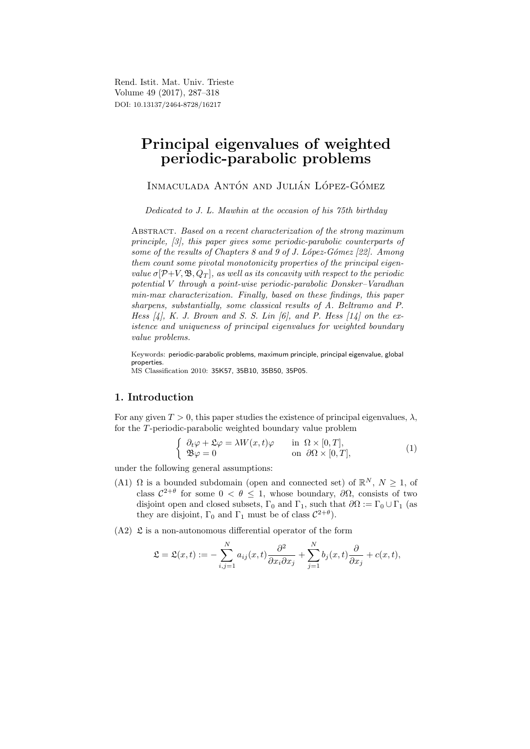Rend. Istit. Mat. Univ. Trieste Volume 49 (2017), 287–318 DOI: 10.13137/2464-8728/16217

# Principal eigenvalues of weighted periodic-parabolic problems

INMACULADA ANTÓN AND JULIÁN LÓPEZ-GÓMEZ

Dedicated to J. L. Mawhin at the occasion of his 75th birthday

ABSTRACT. Based on a recent characterization of the strong maximum principle, [3], this paper gives some periodic-parabolic counterparts of some of the results of Chapters 8 and 9 of J. López-Gómez  $[22]$ . Among them count some pivotal monotonicity properties of the principal eigenvalue  $\sigma[\mathcal{P}+V,\mathfrak{B},Q_T]$ , as well as its concavity with respect to the periodic potential V through a point-wise periodic-parabolic Donsker–Varadhan min-max characterization. Finally, based on these findings, this paper sharpens, substantially, some classical results of A. Beltramo and P. Hess  $[4]$ , K. J. Brown and S. S. Lin  $[6]$ , and P. Hess  $[14]$  on the existence and uniqueness of principal eigenvalues for weighted boundary value problems.

Keywords: periodic-parabolic problems, maximum principle, principal eigenvalue, global properties. MS Classification 2010: 35K57, 35B10, 35B50, 35P05.

1. Introduction

For any given  $T > 0$ , this paper studies the existence of principal eigenvalues,  $\lambda$ , for the T-periodic-parabolic weighted boundary value problem

$$
\begin{cases}\n\partial_t \varphi + \mathfrak{L} \varphi = \lambda W(x, t) \varphi & \text{in } \Omega \times [0, T], \\
\mathfrak{B} \varphi = 0 & \text{on } \partial \Omega \times [0, T],\n\end{cases}
$$
\n(1)

under the following general assumptions:

- (A1)  $\Omega$  is a bounded subdomain (open and connected set) of  $\mathbb{R}^N$ ,  $N \geq 1$ , of class  $C^{2+\theta}$  for some  $0 < \theta \leq 1$ , whose boundary,  $\partial\Omega$ , consists of two disjoint open and closed subsets,  $\Gamma_0$  and  $\Gamma_1$ , such that  $\partial\Omega := \Gamma_0 \cup \Gamma_1$  (as they are disjoint,  $\Gamma_0$  and  $\Gamma_1$  must be of class  $C^{2+\theta}$ .
- $(A2)$   $\mathfrak L$  is a non-autonomous differential operator of the form

$$
\mathfrak{L} = \mathfrak{L}(x,t) := -\sum_{i,j=1}^N a_{ij}(x,t) \frac{\partial^2}{\partial x_i \partial x_j} + \sum_{j=1}^N b_j(x,t) \frac{\partial}{\partial x_j} + c(x,t),
$$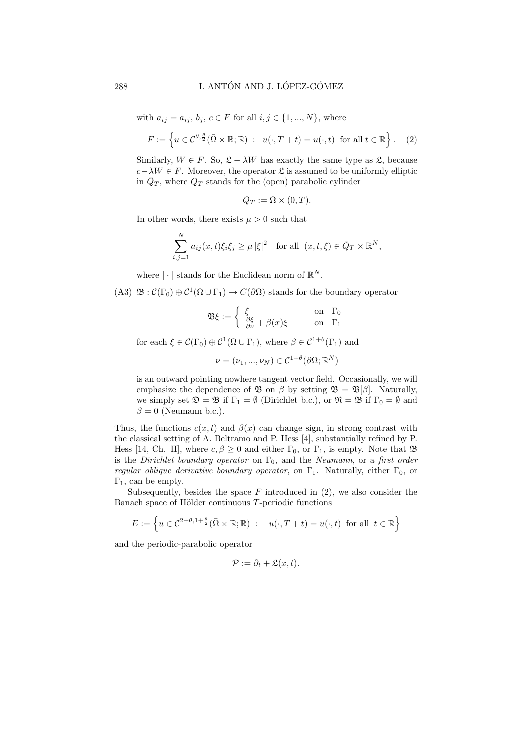with  $a_{ij} = a_{ij}, b_j, c \in F$  for all  $i, j \in \{1, ..., N\}$ , where

$$
F := \left\{ u \in \mathcal{C}^{\theta, \frac{\theta}{2}}(\overline{\Omega} \times \mathbb{R}; \mathbb{R}) : u(\cdot, T + t) = u(\cdot, t) \text{ for all } t \in \mathbb{R} \right\}.
$$
 (2)

Similarly,  $W \in F$ . So,  $\mathfrak{L} - \lambda W$  has exactly the same type as  $\mathfrak{L}$ , because  $c-\lambda W \in F$ . Moreover, the operator  $\mathfrak L$  is assumed to be uniformly elliptic in  $\bar{Q}_T$ , where  $Q_T$  stands for the (open) parabolic cylinder

$$
Q_T := \Omega \times (0,T).
$$

In other words, there exists  $\mu > 0$  such that

$$
\sum_{i,j=1}^{N} a_{ij}(x,t)\xi_i\xi_j \ge \mu |\xi|^2 \quad \text{for all } (x,t,\xi) \in \bar{Q}_T \times \mathbb{R}^N,
$$

where  $|\cdot|$  stands for the Euclidean norm of  $\mathbb{R}^N$ .

(A3)  $\mathfrak{B} : \mathcal{C}(\Gamma_0) \oplus \mathcal{C}^1(\Omega \cup \Gamma_1) \to C(\partial \Omega)$  stands for the boundary operator

$$
\mathfrak{B}\xi := \begin{cases} \xi & \text{on } \Gamma_0 \\ \frac{\partial \xi}{\partial \nu} + \beta(x)\xi & \text{on } \Gamma_1 \end{cases}
$$

for each  $\xi \in \mathcal{C}(\Gamma_0) \oplus \mathcal{C}^1(\Omega \cup \Gamma_1)$ , where  $\beta \in \mathcal{C}^{1+\theta}(\Gamma_1)$  and

 $\nu=(\nu_1,...,\nu_N)\in\mathcal{C}^{1+\theta}(\partial\Omega;\mathbb{R}^N)$ 

is an outward pointing nowhere tangent vector field. Occasionally, we will emphasize the dependence of  $\mathfrak{B}$  on  $\beta$  by setting  $\mathfrak{B} = \mathfrak{B}[\beta]$ . Naturally, we simply set  $\mathfrak{D} = \mathfrak{B}$  if  $\Gamma_1 = \emptyset$  (Dirichlet b.c.), or  $\mathfrak{N} = \mathfrak{B}$  if  $\Gamma_0 = \emptyset$  and  $\beta = 0$  (Neumann b.c.).

Thus, the functions  $c(x, t)$  and  $\beta(x)$  can change sign, in strong contrast with the classical setting of A. Beltramo and P. Hess [4], substantially refined by P. Hess [14, Ch. II], where  $c, \beta \ge 0$  and either  $\Gamma_0$ , or  $\Gamma_1$ , is empty. Note that  $\mathfrak{B}$ is the Dirichlet boundary operator on  $\Gamma_0$ , and the Neumann, or a first order regular oblique derivative boundary operator, on  $\Gamma_1$ . Naturally, either  $\Gamma_0$ , or  $\Gamma_1$ , can be empty.

Subsequently, besides the space  $F$  introduced in  $(2)$ , we also consider the Banach space of Hölder continuous  $T$ -periodic functions

$$
E := \left\{ u \in \mathcal{C}^{2+\theta, 1+\frac{\theta}{2}}(\bar{\Omega} \times \mathbb{R}; \mathbb{R}) : u(\cdot, T+t) = u(\cdot, t) \text{ for all } t \in \mathbb{R} \right\}
$$

and the periodic-parabolic operator

$$
\mathcal{P} := \partial_t + \mathfrak{L}(x, t).
$$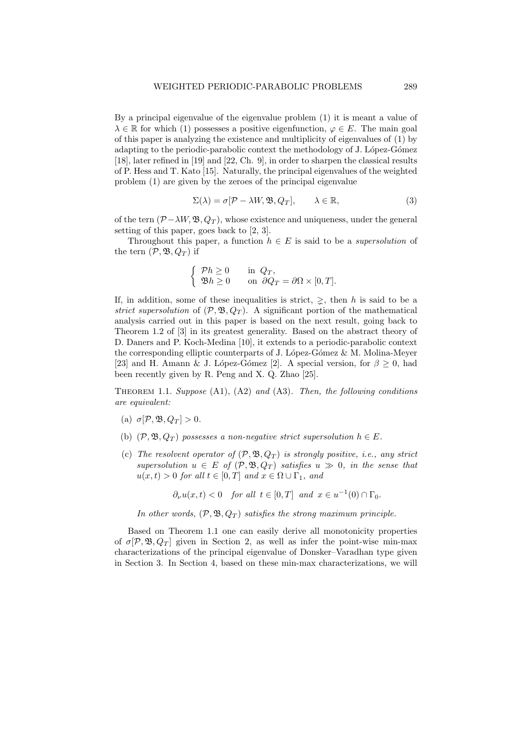By a principal eigenvalue of the eigenvalue problem (1) it is meant a value of  $\lambda \in \mathbb{R}$  for which (1) possesses a positive eigenfunction,  $\varphi \in E$ . The main goal of this paper is analyzing the existence and multiplicity of eigenvalues of (1) by adapting to the periodic-parabolic context the methodology of J. López-Gómez [18], later refined in [19] and [22, Ch. 9], in order to sharpen the classical results of P. Hess and T. Kato [15]. Naturally, the principal eigenvalues of the weighted problem (1) are given by the zeroes of the principal eigenvalue

$$
\Sigma(\lambda) = \sigma[\mathcal{P} - \lambda W, \mathfrak{B}, Q_T], \qquad \lambda \in \mathbb{R}, \tag{3}
$$

of the tern  $(\mathcal{P} - \lambda W, \mathfrak{B}, Q_T)$ , whose existence and uniqueness, under the general setting of this paper, goes back to [2, 3].

Throughout this paper, a function  $h \in E$  is said to be a *supersolution* of the tern  $(\mathcal{P}, \mathfrak{B}, Q_T)$  if

$$
\begin{cases}\n\mathcal{P}h \ge 0 & \text{in } Q_T, \\
\mathfrak{B}h \ge 0 & \text{on } \partial Q_T = \partial \Omega \times [0, T].\n\end{cases}
$$

If, in addition, some of these inequalities is strict,  $\geq$ , then h is said to be a strict supersolution of  $(\mathcal{P}, \mathfrak{B}, Q_T)$ . A significant portion of the mathematical analysis carried out in this paper is based on the next result, going back to Theorem 1.2 of [3] in its greatest generality. Based on the abstract theory of D. Daners and P. Koch-Medina [10], it extends to a periodic-parabolic context the corresponding elliptic counterparts of J. López-Gómez  $\&$  M. Molina-Meyer [23] and H. Amann & J. López-Gómez [2]. A special version, for  $\beta \geq 0$ , had been recently given by R. Peng and X. Q. Zhao [25].

THEOREM 1.1. Suppose  $(A1)$ ,  $(A2)$  and  $(A3)$ . Then, the following conditions are equivalent:

- (a)  $\sigma$ [P, B,  $Q_T$ ] > 0.
- (b)  $(\mathcal{P}, \mathfrak{B}, Q_T)$  possesses a non-negative strict supersolution  $h \in E$ .
- (c) The resolvent operator of  $(\mathcal{P}, \mathfrak{B}, Q_T)$  is strongly positive, i.e., any strict supersolution  $u \in E$  of  $(\mathcal{P}, \mathfrak{B}, Q_T)$  satisfies  $u \gg 0$ , in the sense that  $u(x,t) > 0$  for all  $t \in [0,T]$  and  $x \in \Omega \cup \Gamma_1$ , and

$$
\partial_{\nu}u(x,t) < 0
$$
 for all  $t \in [0,T]$  and  $x \in u^{-1}(0) \cap \Gamma_0$ .

In other words,  $(\mathcal{P}, \mathfrak{B}, Q_T)$  satisfies the strong maximum principle.

Based on Theorem 1.1 one can easily derive all monotonicity properties of  $\sigma$ [P, B, Q<sub>T</sub>] given in Section 2, as well as infer the point-wise min-max characterizations of the principal eigenvalue of Donsker–Varadhan type given in Section 3. In Section 4, based on these min-max characterizations, we will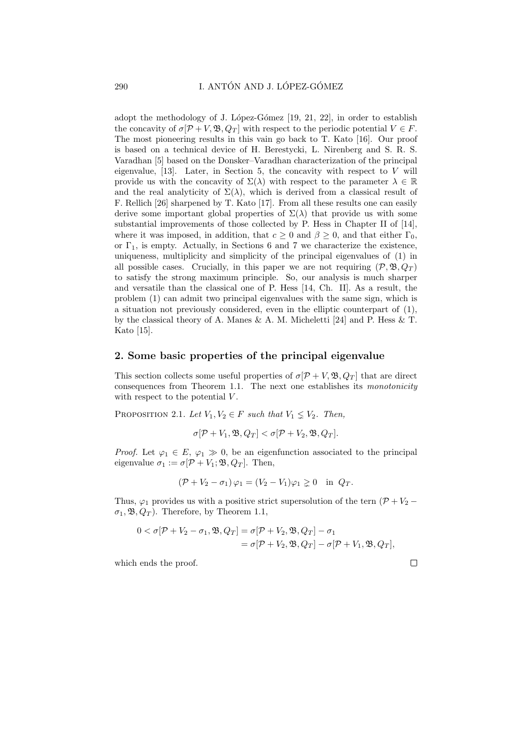adopt the methodology of J. López-Gómez  $[19, 21, 22]$ , in order to establish the concavity of  $\sigma[\mathcal{P}+V,\mathfrak{B},Q_T]$  with respect to the periodic potential  $V \in F$ . The most pioneering results in this vain go back to T. Kato [16]. Our proof is based on a technical device of H. Berestycki, L. Nirenberg and S. R. S. Varadhan [5] based on the Donsker–Varadhan characterization of the principal eigenvalue, [13]. Later, in Section 5, the concavity with respect to  $V$  will provide us with the concavity of  $\Sigma(\lambda)$  with respect to the parameter  $\lambda \in \mathbb{R}$ and the real analyticity of  $\Sigma(\lambda)$ , which is derived from a classical result of F. Rellich [26] sharpened by T. Kato [17]. From all these results one can easily derive some important global properties of  $\Sigma(\lambda)$  that provide us with some substantial improvements of those collected by P. Hess in Chapter II of [14], where it was imposed, in addition, that  $c \geq 0$  and  $\beta \geq 0$ , and that either  $\Gamma_0$ , or  $\Gamma_1$ , is empty. Actually, in Sections 6 and 7 we characterize the existence, uniqueness, multiplicity and simplicity of the principal eigenvalues of (1) in all possible cases. Crucially, in this paper we are not requiring  $(\mathcal{P}, \mathfrak{B}, Q_T)$ to satisfy the strong maximum principle. So, our analysis is much sharper and versatile than the classical one of P. Hess [14, Ch. II]. As a result, the problem (1) can admit two principal eigenvalues with the same sign, which is a situation not previously considered, even in the elliptic counterpart of (1), by the classical theory of A. Manes & A. M. Micheletti [24] and P. Hess & T. Kato [15].

#### 2. Some basic properties of the principal eigenvalue

This section collects some useful properties of  $\sigma[\mathcal{P}+V, \mathfrak{B}, Q_T]$  that are direct consequences from Theorem 1.1. The next one establishes its monotonicity with respect to the potential  $V$ .

PROPOSITION 2.1. Let  $V_1, V_2 \in F$  such that  $V_1 \nleq V_2$ . Then,

$$
\sigma[\mathcal{P}+V_1,\mathfrak{B},Q_T]<\sigma[\mathcal{P}+V_2,\mathfrak{B},Q_T].
$$

*Proof.* Let  $\varphi_1 \in E$ ,  $\varphi_1 \gg 0$ , be an eigenfunction associated to the principal eigenvalue  $\sigma_1 := \sigma[\mathcal{P} + V_1; \mathfrak{B}, Q_T]$ . Then,

$$
(\mathcal{P} + V_2 - \sigma_1)\varphi_1 = (V_2 - V_1)\varphi_1 \geq 0 \quad \text{in } Q_T.
$$

Thus,  $\varphi_1$  provides us with a positive strict supersolution of the tern  $(\mathcal{P} + V_2 \sigma_1$ ,  $\mathfrak{B}$ ,  $Q_T$ ). Therefore, by Theorem 1.1,

$$
0 < \sigma[\mathcal{P} + V_2 - \sigma_1, \mathfrak{B}, Q_T] = \sigma[\mathcal{P} + V_2, \mathfrak{B}, Q_T] - \sigma_1
$$
  
=  $\sigma[\mathcal{P} + V_2, \mathfrak{B}, Q_T] - \sigma[\mathcal{P} + V_1, \mathfrak{B}, Q_T],$ 

which ends the proof.

$$
\Box
$$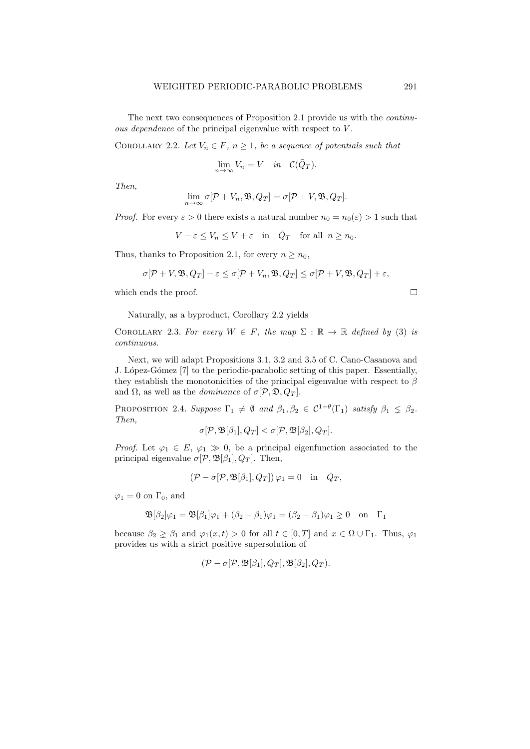The next two consequences of Proposition 2.1 provide us with the continuous dependence of the principal eigenvalue with respect to  $V$ .

COROLLARY 2.2. Let  $V_n \in F$ ,  $n \geq 1$ , be a sequence of potentials such that

$$
\lim_{n \to \infty} V_n = V \quad in \quad \mathcal{C}(\bar{Q}_T).
$$

Then,

$$
\lim_{n\to\infty}\sigma[\mathcal{P}+V_n,\mathfrak{B},Q_T]=\sigma[\mathcal{P}+V,\mathfrak{B},Q_T].
$$

*Proof.* For every  $\varepsilon > 0$  there exists a natural number  $n_0 = n_0(\varepsilon) > 1$  such that

 $V - \varepsilon \le V_n \le V + \varepsilon$  in  $\overline{Q}_T$  for all  $n \ge n_0$ .

Thus, thanks to Proposition 2.1, for every  $n \geq n_0$ ,

$$
\sigma[\mathcal{P}+V,\mathfrak{B},Q_T]-\varepsilon \leq \sigma[\mathcal{P}+V_n,\mathfrak{B},Q_T] \leq \sigma[\mathcal{P}+V,\mathfrak{B},Q_T]+\varepsilon,
$$

which ends the proof.

Naturally, as a byproduct, Corollary 2.2 yields

COROLLARY 2.3. For every  $W \in F$ , the map  $\Sigma : \mathbb{R} \to \mathbb{R}$  defined by (3) is continuous.

Next, we will adapt Propositions 3.1, 3.2 and 3.5 of C. Cano-Casanova and J. López-Gómez [7] to the periodic-parabolic setting of this paper. Essentially, they establish the monotonicities of the principal eigenvalue with respect to  $\beta$ and  $\Omega$ , as well as the *dominance* of  $\sigma$ [ $\mathcal{P}, \mathcal{D}, Q_T$ ].

PROPOSITION 2.4. Suppose  $\Gamma_1 \neq \emptyset$  and  $\beta_1, \beta_2 \in C^{1+\theta}(\Gamma_1)$  satisfy  $\beta_1 \leq \beta_2$ . Then,

$$
\sigma[\mathcal{P},\mathfrak{B}[\beta_1],Q_T] < \sigma[\mathcal{P},\mathfrak{B}[\beta_2],Q_T].
$$

*Proof.* Let  $\varphi_1 \in E$ ,  $\varphi_1 \gg 0$ , be a principal eigenfunction associated to the principal eigenvalue  $\sigma$ [ $P$ ,  $\mathfrak{B}[\beta_1], Q_T$ ]. Then,

$$
(\mathcal{P} - \sigma[\mathcal{P}, \mathfrak{B}[\beta_1], Q_T]) \varphi_1 = 0 \quad \text{in} \quad Q_T,
$$

 $\varphi_1 = 0$  on  $\Gamma_0$ , and

$$
\mathfrak{B}[\beta_2]\varphi_1 = \mathfrak{B}[\beta_1]\varphi_1 + (\beta_2 - \beta_1)\varphi_1 = (\beta_2 - \beta_1)\varphi_1 \geq 0 \text{ on } \Gamma_1
$$

because  $\beta_2 \geq \beta_1$  and  $\varphi_1(x,t) > 0$  for all  $t \in [0,T]$  and  $x \in \Omega \cup \Gamma_1$ . Thus,  $\varphi_1$ provides us with a strict positive supersolution of

$$
(\mathcal{P}-\sigma[\mathcal{P},\mathfrak{B}[\beta_1],Q_T],\mathfrak{B}[\beta_2],Q_T).
$$

```
\Box
```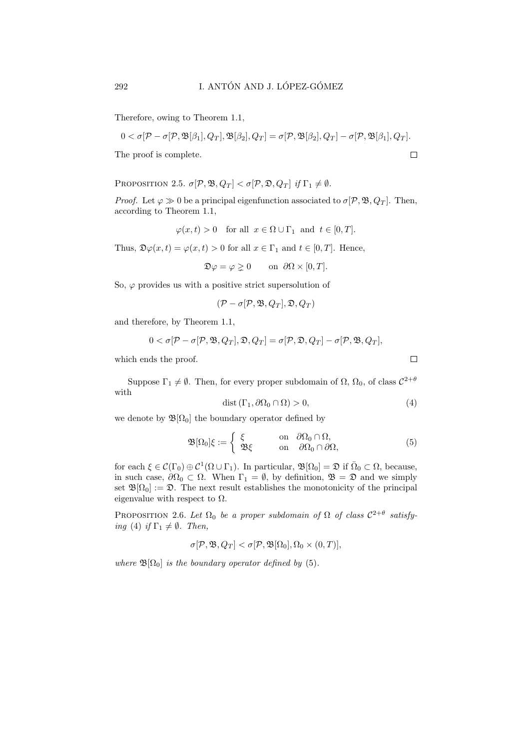Therefore, owing to Theorem 1.1,

$$
0 < \sigma[\mathcal{P}-\sigma[\mathcal{P},\mathfrak{B}[\beta_1],Q_T],\mathfrak{B}[\beta_2],Q_T] = \sigma[\mathcal{P},\mathfrak{B}[\beta_2],Q_T] - \sigma[\mathcal{P},\mathfrak{B}[\beta_1],Q_T].
$$

The proof is complete.

PROPOSITION 2.5.  $\sigma[\mathcal{P}, \mathfrak{B}, Q_T] < \sigma[\mathcal{P}, \mathfrak{D}, Q_T]$  if  $\Gamma_1 \neq \emptyset$ .

*Proof.* Let  $\varphi \gg 0$  be a principal eigenfunction associated to  $\sigma$ [P, B, Q<sub>T</sub>]. Then, according to Theorem 1.1,

$$
\varphi(x,t) > 0
$$
 for all  $x \in \Omega \cup \Gamma_1$  and  $t \in [0,T]$ .

Thus,  $\mathfrak{D}\varphi(x,t) = \varphi(x,t) > 0$  for all  $x \in \Gamma_1$  and  $t \in [0,T]$ . Hence,

$$
\mathfrak{D}\varphi = \varphi \geq 0 \qquad \text{on } \partial\Omega \times [0,T].
$$

So,  $\varphi$  provides us with a positive strict supersolution of

$$
(\mathcal{P}-\sigma[\mathcal{P},\mathfrak{B},Q_T],\mathfrak{D},Q_T)
$$

and therefore, by Theorem 1.1,

$$
0 < \sigma[\mathcal{P}-\sigma[\mathcal{P},\mathfrak{B},Q_T],\mathfrak{D},Q_T] = \sigma[\mathcal{P},\mathfrak{D},Q_T] - \sigma[\mathcal{P},\mathfrak{B},Q_T],
$$

which ends the proof.

Suppose  $\Gamma_1 \neq \emptyset$ . Then, for every proper subdomain of  $\Omega$ ,  $\Omega_0$ , of class  $C^{2+\theta}$ with

$$
dist(\Gamma_1, \partial \Omega_0 \cap \Omega) > 0,\tag{4}
$$

we denote by  $\mathfrak{B}[\Omega_0]$  the boundary operator defined by

$$
\mathfrak{B}[\Omega_0]\xi := \left\{ \begin{array}{ll} \xi & \text{on } \partial\Omega_0 \cap \Omega, \\ \mathfrak{B}\xi & \text{on } \partial\Omega_0 \cap \partial\Omega, \end{array} \right. \tag{5}
$$

for each  $\xi \in \mathcal{C}(\Gamma_0) \oplus \mathcal{C}^1(\Omega \cup \Gamma_1)$ . In particular,  $\mathfrak{B}[\Omega_0] = \mathfrak{D}$  if  $\overline{\Omega}_0 \subset \Omega$ , because, in such case,  $\partial\Omega_0 \subset \Omega$ . When  $\Gamma_1 = \emptyset$ , by definition,  $\mathfrak{B} = \mathfrak{D}$  and we simply set  $\mathfrak{B}[\Omega_0] := \mathfrak{D}$ . The next result establishes the monotonicity of the principal eigenvalue with respect to  $\Omega$ .

PROPOSITION 2.6. Let  $\Omega_0$  be a proper subdomain of  $\Omega$  of class  $C^{2+\theta}$  satisfying (4) if  $\Gamma_1 \neq \emptyset$ . Then,

$$
\sigma[\mathcal{P}, \mathfrak{B}, Q_T] < \sigma[\mathcal{P}, \mathfrak{B}[\Omega_0], \Omega_0 \times (0, T)],
$$

where  $\mathfrak{B}[\Omega_0]$  is the boundary operator defined by (5).

 $\Box$ 

 $\Box$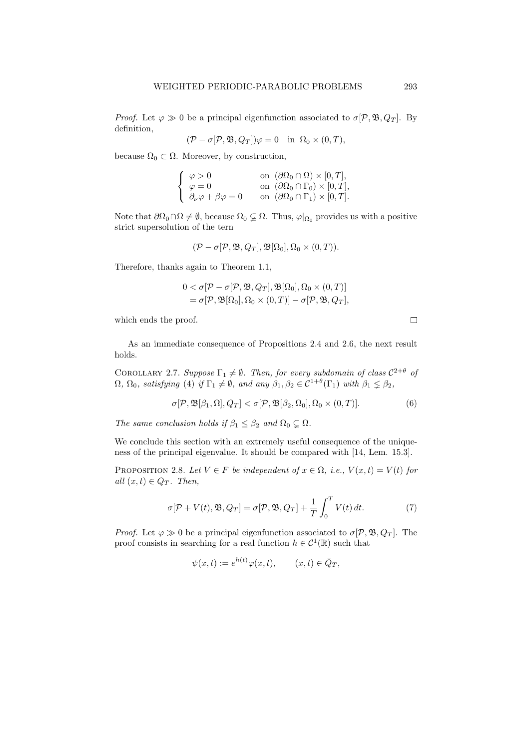*Proof.* Let  $\varphi \gg 0$  be a principal eigenfunction associated to  $\sigma$ [P, B, Q<sub>T</sub>]. By definition,

$$
(\mathcal{P} - \sigma[\mathcal{P}, \mathfrak{B}, Q_T])\varphi = 0 \quad \text{in} \ \Omega_0 \times (0, T),
$$

because  $\Omega_0 \subset \Omega$ . Moreover, by construction,

| $\varphi > 0$                              | on $(\partial \Omega_0 \cap \Omega) \times [0, T],$   |
|--------------------------------------------|-------------------------------------------------------|
| $\left\langle \varphi = 0 \right\rangle$   | on $(\partial \Omega_0 \cap \Gamma_0) \times [0, T],$ |
| $\partial_{\nu}\varphi + \beta\varphi = 0$ | on $(\partial \Omega_0 \cap \Gamma_1) \times [0, T].$ |

Note that  $\partial\Omega_0 \cap \Omega \neq \emptyset$ , because  $\Omega_0 \subsetneq \Omega$ . Thus,  $\varphi|_{\Omega_0}$  provides us with a positive strict supersolution of the tern

$$
(\mathcal{P} - \sigma[\mathcal{P}, \mathfrak{B}, Q_T], \mathfrak{B}[\Omega_0], \Omega_0 \times (0, T)).
$$

Therefore, thanks again to Theorem 1.1,

$$
0 < \sigma[\mathcal{P} - \sigma[\mathcal{P}, \mathfrak{B}, Q_T], \mathfrak{B}[\Omega_0], \Omega_0 \times (0, T)]
$$
  
=  $\sigma[\mathcal{P}, \mathfrak{B}[\Omega_0], \Omega_0 \times (0, T)] - \sigma[\mathcal{P}, \mathfrak{B}, Q_T],$ 

which ends the proof.

As an immediate consequence of Propositions 2.4 and 2.6, the next result holds.

COROLLARY 2.7. Suppose  $\Gamma_1 \neq \emptyset$ . Then, for every subdomain of class  $C^{2+\theta}$  of  $\Omega$ ,  $\Omega_0$ , satisfying (4) if  $\Gamma_1 \neq \emptyset$ , and any  $\beta_1, \beta_2 \in C^{1+\theta}(\Gamma_1)$  with  $\beta_1 \leq \beta_2$ ,

$$
\sigma[\mathcal{P}, \mathfrak{B}[\beta_1, \Omega], Q_T] < \sigma[\mathcal{P}, \mathfrak{B}[\beta_2, \Omega_0], \Omega_0 \times (0, T)].\tag{6}
$$

The same conclusion holds if  $\beta_1 \leq \beta_2$  and  $\Omega_0 \subsetneq \Omega$ .

We conclude this section with an extremely useful consequence of the uniqueness of the principal eigenvalue. It should be compared with [14, Lem. 15.3].

PROPOSITION 2.8. Let  $V \in F$  be independent of  $x \in \Omega$ , i.e.,  $V(x,t) = V(t)$  for all  $(x, t) \in Q_T$ . Then,

$$
\sigma[\mathcal{P} + V(t), \mathfrak{B}, Q_T] = \sigma[\mathcal{P}, \mathfrak{B}, Q_T] + \frac{1}{T} \int_0^T V(t) dt.
$$
 (7)

*Proof.* Let  $\varphi \gg 0$  be a principal eigenfunction associated to  $\sigma$ [P, B, Q<sub>T</sub>]. The proof consists in searching for a real function  $h \in C^1(\mathbb{R})$  such that

$$
\psi(x,t) := e^{h(t)} \varphi(x,t), \qquad (x,t) \in \bar{Q}_T,
$$

 $\Box$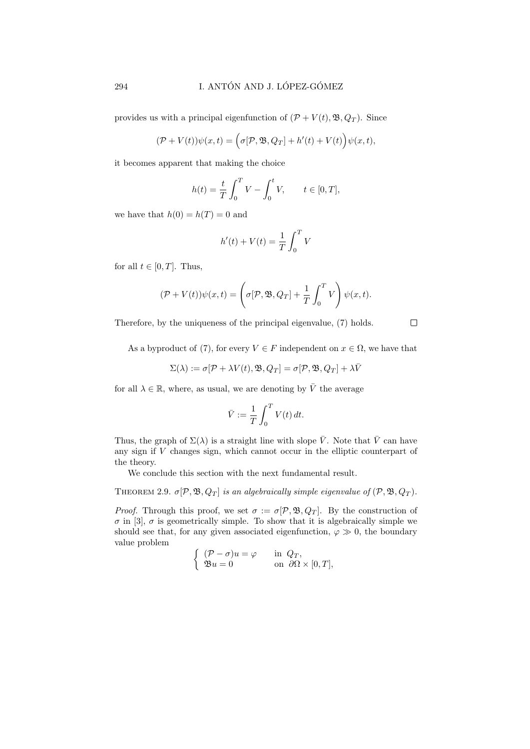provides us with a principal eigenfunction of  $(\mathcal{P} + V(t), \mathfrak{B}, Q_T)$ . Since

$$
(\mathcal{P} + V(t))\psi(x,t) = \left(\sigma[\mathcal{P}, \mathfrak{B}, Q_T] + h'(t) + V(t)\right)\psi(x,t),
$$

it becomes apparent that making the choice

$$
h(t) = \frac{t}{T} \int_0^T V - \int_0^t V, \qquad t \in [0, T],
$$

we have that  $h(0) = h(T) = 0$  and

$$
h'(t) + V(t) = \frac{1}{T} \int_0^T V
$$

for all  $t \in [0, T]$ . Thus,

$$
(\mathcal{P} + V(t))\psi(x,t) = \left(\sigma[\mathcal{P}, \mathfrak{B}, Q_T] + \frac{1}{T} \int_0^T V\right)\psi(x,t).
$$

Therefore, by the uniqueness of the principal eigenvalue, (7) holds.

 $\Box$ 

As a byproduct of (7), for every  $V \in F$  independent on  $x \in \Omega$ , we have that

$$
\Sigma(\lambda):=\sigma[\mathcal{P}+\lambda V(t),\mathfrak{B},Q_T]=\sigma[\mathcal{P},\mathfrak{B},Q_T]+\lambda\bar{V}
$$

for all  $\lambda \in \mathbb{R}$ , where, as usual, we are denoting by  $\overline{V}$  the average

$$
\bar{V} := \frac{1}{T} \int_0^T V(t) dt.
$$

Thus, the graph of  $\Sigma(\lambda)$  is a straight line with slope  $\overline{V}$ . Note that  $\overline{V}$  can have any sign if V changes sign, which cannot occur in the elliptic counterpart of the theory.

We conclude this section with the next fundamental result.

THEOREM 2.9.  $\sigma$ [ $\mathcal{P}, \mathfrak{B}, Q_T$ ] is an algebraically simple eigenvalue of  $(\mathcal{P}, \mathfrak{B}, Q_T)$ .

*Proof.* Through this proof, we set  $\sigma := \sigma[\mathcal{P}, \mathfrak{B}, Q_T]$ . By the construction of  $\sigma$  in [3],  $\sigma$  is geometrically simple. To show that it is algebraically simple we should see that, for any given associated eigenfunction,  $\varphi \gg 0$ , the boundary value problem

$$
\begin{cases}\n(\mathcal{P} - \sigma)u = \varphi & \text{in } Q_T, \\
\mathfrak{B}u = 0 & \text{on } \partial\Omega \times [0, T],\n\end{cases}
$$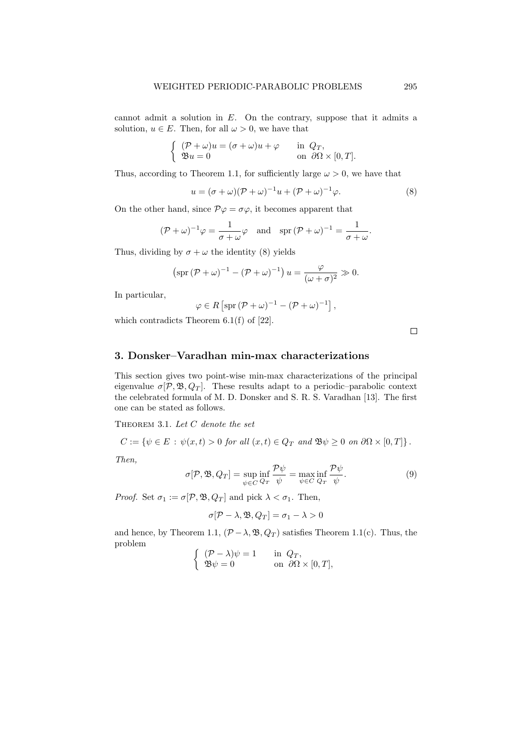cannot admit a solution in  $E$ . On the contrary, suppose that it admits a solution,  $u \in E$ . Then, for all  $\omega > 0$ , we have that

$$
\begin{cases}\n(\mathcal{P} + \omega)u = (\sigma + \omega)u + \varphi & \text{in } Q_T, \\
\mathfrak{B}u = 0 & \text{on } \partial\Omega \times [0, T].\n\end{cases}
$$

Thus, according to Theorem 1.1, for sufficiently large  $\omega > 0$ , we have that

$$
u = (\sigma + \omega)(\mathcal{P} + \omega)^{-1}u + (\mathcal{P} + \omega)^{-1}\varphi.
$$
\n(8)

On the other hand, since  $\mathcal{P}\varphi = \sigma\varphi$ , it becomes apparent that

$$
(\mathcal{P} + \omega)^{-1} \varphi = \frac{1}{\sigma + \omega} \varphi \quad \text{and} \quad \text{spr} \, (\mathcal{P} + \omega)^{-1} = \frac{1}{\sigma + \omega}.
$$

Thus, dividing by  $\sigma + \omega$  the identity (8) yields

$$
\left(\text{spr}\left(\mathcal{P} + \omega\right)^{-1} - \left(\mathcal{P} + \omega\right)^{-1}\right)u = \frac{\varphi}{(\omega + \sigma)^2} \gg 0.
$$

In particular,

$$
\varphi \in R\left[\operatorname{spr}\left(\mathcal{P} + \omega\right)^{-1} - \left(\mathcal{P} + \omega\right)^{-1}\right],
$$

which contradicts Theorem 6.1(f) of [22].

 $\Box$ 

## 3. Donsker–Varadhan min-max characterizations

This section gives two point-wise min-max characterizations of the principal eigenvalue  $\sigma[\mathcal{P}, \mathfrak{B}, Q_T]$ . These results adapt to a periodic-parabolic context the celebrated formula of M. D. Donsker and S. R. S. Varadhan [13]. The first one can be stated as follows.

THEOREM 3.1. Let  $C$  denote the set

$$
C := \{ \psi \in E \, : \, \psi(x, t) > 0 \text{ for all } (x, t) \in Q_T \text{ and } \mathfrak{B} \psi \geq 0 \text{ on } \partial \Omega \times [0, T] \} \, .
$$

Then,

$$
\sigma[\mathcal{P}, \mathfrak{B}, Q_T] = \sup_{\psi \in C} \inf_{Q_T} \frac{\mathcal{P}\psi}{\psi} = \max_{\psi \in C} \inf_{Q_T} \frac{\mathcal{P}\psi}{\psi}.
$$
\n(9)

*Proof.* Set  $\sigma_1 := \sigma[\mathcal{P}, \mathfrak{B}, Q_T]$  and pick  $\lambda < \sigma_1$ . Then,

$$
\sigma[\mathcal{P} - \lambda, \mathfrak{B}, Q_T] = \sigma_1 - \lambda > 0
$$

and hence, by Theorem 1.1,  $(\mathcal{P} - \lambda, \mathfrak{B}, Q_T)$  satisfies Theorem 1.1(c). Thus, the problem  $\epsilon$  in

$$
\begin{cases}\n(\mathcal{P} - \lambda)\psi = 1 & \text{in } Q_T, \\
\mathfrak{B}\psi = 0 & \text{on } \partial\Omega \times [0, T],\n\end{cases}
$$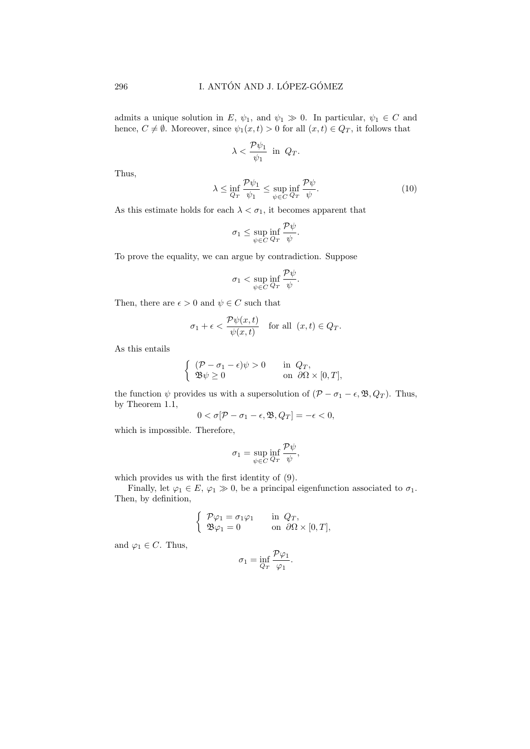admits a unique solution in E,  $\psi_1$ , and  $\psi_1 \gg 0$ . In particular,  $\psi_1 \in C$  and hence,  $C \neq \emptyset$ . Moreover, since  $\psi_1(x,t) > 0$  for all  $(x,t) \in Q_T$ , it follows that

$$
\lambda < \frac{\mathcal{P}\psi_1}{\psi_1} \text{ in } Q_T.
$$

Thus,

$$
\lambda \le \inf_{Q_T} \frac{\mathcal{P}\psi_1}{\psi_1} \le \sup_{\psi \in C} \inf_{Q_T} \frac{\mathcal{P}\psi}{\psi}.
$$
\n(10)

As this estimate holds for each  $\lambda < \sigma_1$ , it becomes apparent that

$$
\sigma_1 \leq \sup_{\psi \in C} \inf_{Q_T} \frac{\mathcal{P}\psi}{\psi}.
$$

To prove the equality, we can argue by contradiction. Suppose

$$
\sigma_1 < \sup_{\psi \in C} \inf_{Q_T} \frac{\mathcal{P}\psi}{\psi}.
$$

Then, there are  $\epsilon > 0$  and  $\psi \in C$  such that

$$
\sigma_1 + \epsilon < \frac{\mathcal{P}\psi(x,t)}{\psi(x,t)} \quad \text{for all} \ \ (x,t) \in Q_T.
$$

As this entails

$$
\begin{cases}\n(\mathcal{P} - \sigma_1 - \epsilon)\psi > 0 \quad \text{in } Q_T, \\
\mathfrak{B}\psi \ge 0 & \text{on } \partial\Omega \times [0, T],\n\end{cases}
$$

the function  $\psi$  provides us with a supersolution of  $(\mathcal{P} - \sigma_1 - \epsilon, \mathfrak{B}, Q_T)$ . Thus, by Theorem 1.1,

$$
0 < \sigma[\mathcal{P} - \sigma_1 - \epsilon, \mathfrak{B}, Q_T] = -\epsilon < 0,
$$

which is impossible. Therefore,

$$
\sigma_1 = \sup_{\psi \in C} \inf_{Q_T} \frac{\mathcal{P}\psi}{\psi},
$$

which provides us with the first identity of (9).

Finally, let  $\varphi_1 \in E$ ,  $\varphi_1 \gg 0$ , be a principal eigenfunction associated to  $\sigma_1$ . Then, by definition,

$$
\begin{cases}\n\mathcal{P}\varphi_1 = \sigma_1 \varphi_1 & \text{in } Q_T, \\
\mathfrak{B}\varphi_1 = 0 & \text{on } \partial\Omega \times [0, T],\n\end{cases}
$$

and  $\varphi_1 \in C$ . Thus,

$$
\sigma_1 = \inf_{Q_T} \frac{\mathcal{P}\varphi_1}{\varphi_1}.
$$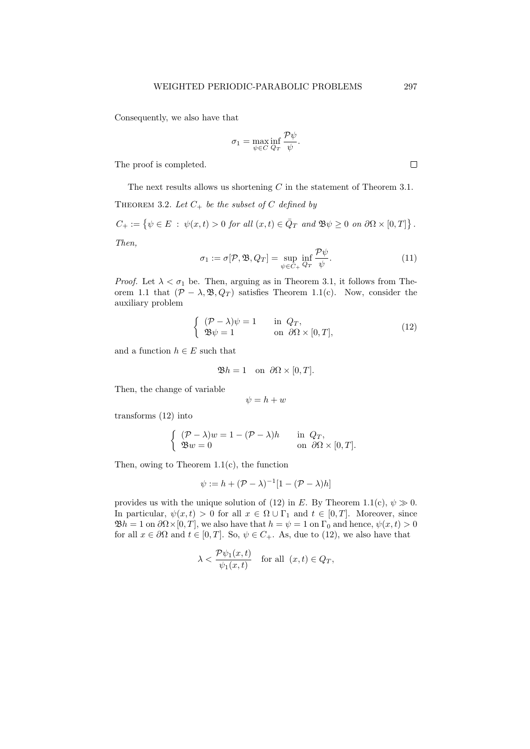Consequently, we also have that

$$
\sigma_1 = \max_{\psi \in C} \inf_{Q_T} \frac{\mathcal{P}\psi}{\psi}.
$$

The proof is completed.

The next results allows us shortening C in the statement of Theorem 3.1. THEOREM 3.2. Let  $C_+$  be the subset of C defined by

$$
C_+ := \{ \psi \in E \; : \; \psi(x, t) > 0 \text{ for all } (x, t) \in \bar{Q}_T \text{ and } \mathfrak{B} \psi \ge 0 \text{ on } \partial \Omega \times [0, T] \}.
$$
  
Then,

$$
\sigma_1 := \sigma[\mathcal{P}, \mathfrak{B}, Q_T] = \sup_{\psi \in C_+} \inf_{Q_T} \frac{\mathcal{P}\psi}{\psi}.
$$
\n(11)

*Proof.* Let  $\lambda < \sigma_1$  be. Then, arguing as in Theorem 3.1, it follows from Theorem 1.1 that  $(\mathcal{P} - \lambda, \mathfrak{B}, Q_T)$  satisfies Theorem 1.1(c). Now, consider the auxiliary problem

$$
\begin{cases}\n(\mathcal{P} - \lambda)\psi = 1 & \text{in } Q_T, \\
\mathfrak{B}\psi = 1 & \text{on } \partial\Omega \times [0, T],\n\end{cases}
$$
\n(12)

and a function  $h \in E$  such that

$$
\mathfrak{B}h = 1 \quad \text{on} \ \partial\Omega \times [0, T].
$$

Then, the change of variable

$$
\psi = h + w
$$

transforms (12) into

$$
\begin{cases}\n(\mathcal{P} - \lambda)w = 1 - (\mathcal{P} - \lambda)h & \text{in } Q_T, \\
\mathfrak{B}w = 0 & \text{on } \partial\Omega \times [0, T].\n\end{cases}
$$

Then, owing to Theorem 1.1(c), the function

$$
\psi := h + (\mathcal{P} - \lambda)^{-1} [1 - (\mathcal{P} - \lambda)h]
$$

provides us with the unique solution of (12) in E. By Theorem 1.1(c),  $\psi \gg 0$ . In particular,  $\psi(x,t) > 0$  for all  $x \in \Omega \cup \Gamma_1$  and  $t \in [0,T]$ . Moreover, since  $\mathfrak{B}h = 1$  on  $\partial \Omega \times [0, T]$ , we also have that  $h = \psi = 1$  on  $\Gamma_0$  and hence,  $\psi(x, t) > 0$ for all  $x \in \partial\Omega$  and  $t \in [0, T]$ . So,  $\psi \in C_+$ . As, due to (12), we also have that

$$
\lambda < \frac{\mathcal{P}\psi_1(x,t)}{\psi_1(x,t)} \quad \text{for all } (x,t) \in Q_T,
$$

 $\Box$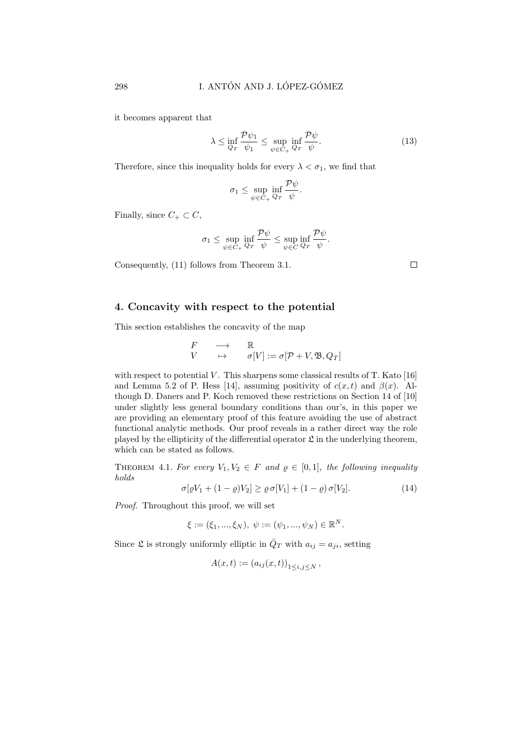it becomes apparent that

$$
\lambda \le \inf_{Q_T} \frac{\mathcal{P}\psi_1}{\psi_1} \le \sup_{\psi \in C_+} \inf_{Q_T} \frac{\mathcal{P}\psi}{\psi}.\tag{13}
$$

Therefore, since this inequality holds for every  $\lambda < \sigma_1$ , we find that

$$
\sigma_1 \leq \sup_{\psi \in C_+} \inf_{Q_T} \frac{\mathcal{P}\psi}{\psi}.
$$

Finally, since  $C_+ \subset C$ ,

$$
\sigma_1 \leq \sup_{\psi \in C_+} \inf_{Q_T} \frac{\mathcal{P}\psi}{\psi} \leq \sup_{\psi \in C} \inf_{Q_T} \frac{\mathcal{P}\psi}{\psi}.
$$

Consequently, (11) follows from Theorem 3.1.

## 4. Concavity with respect to the potential

This section establishes the concavity of the map

$$
\begin{array}{ccc}\nF & \longrightarrow & \mathbb{R} \\
V & \mapsto & \sigma[V] := \sigma[\mathcal{P} + V, \mathfrak{B}, Q_T]\n\end{array}
$$

with respect to potential  $V$ . This sharpens some classical results of T. Kato [16] and Lemma 5.2 of P. Hess [14], assuming positivity of  $c(x, t)$  and  $\beta(x)$ . Although D. Daners and P. Koch removed these restrictions on Section 14 of [10] under slightly less general boundary conditions than our's, in this paper we are providing an elementary proof of this feature avoiding the use of abstract functional analytic methods. Our proof reveals in a rather direct way the role played by the ellipticity of the differential operator  $\mathfrak L$  in the underlying theorem, which can be stated as follows.

THEOREM 4.1. For every  $V_1, V_2 \in F$  and  $\varrho \in [0,1]$ , the following inequality holds

$$
\sigma[\varrho V_1 + (1 - \varrho)V_2] \ge \varrho \,\sigma[V_1] + (1 - \varrho)\,\sigma[V_2].\tag{14}
$$

Proof. Throughout this proof, we will set

$$
\xi := (\xi_1, ..., \xi_N), \ \psi := (\psi_1, ..., \psi_N) \in \mathbb{R}^N.
$$

Since  $\mathfrak L$  is strongly uniformly elliptic in  $\overline{Q}_T$  with  $a_{ij} = a_{ji}$ , setting

$$
A(x,t) := (a_{ij}(x,t))_{1 \le i,j \le N},
$$

 $\Box$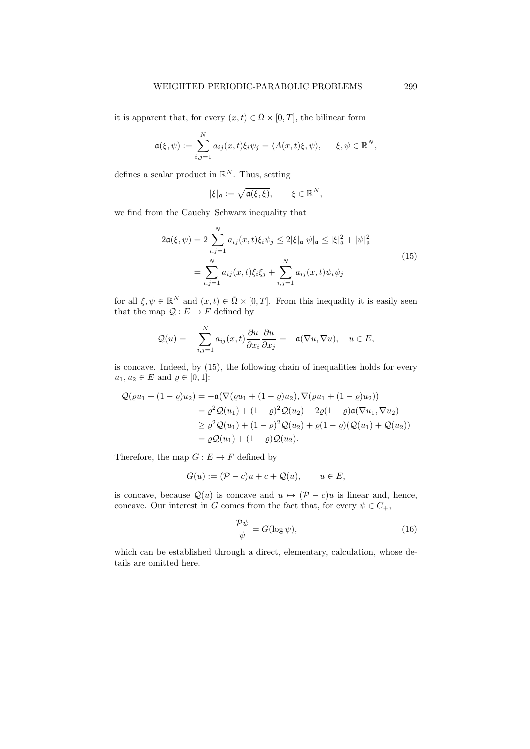it is apparent that, for every  $(x, t) \in \overline{\Omega} \times [0, T]$ , the bilinear form

$$
\mathfrak{a}(\xi,\psi) := \sum_{i,j=1}^N a_{ij}(x,t)\xi_i\psi_j = \langle A(x,t)\xi,\psi\rangle, \quad \xi,\psi \in \mathbb{R}^N,
$$

defines a scalar product in  $\mathbb{R}^N$ . Thus, setting

$$
|\xi|_{\mathfrak{a}} := \sqrt{\mathfrak{a}(\xi,\xi)}, \qquad \xi \in \mathbb{R}^N,
$$

we find from the Cauchy–Schwarz inequality that

$$
2\mathfrak{a}(\xi, \psi) = 2 \sum_{i,j=1}^{N} a_{ij}(x, t)\xi_i \psi_j \le 2|\xi|_{\mathfrak{a}}|\psi|_{\mathfrak{a}} \le |\xi|_{\mathfrak{a}}^2 + |\psi|_{\mathfrak{a}}^2
$$
  
= 
$$
\sum_{i,j=1}^{N} a_{ij}(x, t)\xi_i \xi_j + \sum_{i,j=1}^{N} a_{ij}(x, t)\psi_i \psi_j
$$
 (15)

for all  $\xi, \psi \in \mathbb{R}^N$  and  $(x, t) \in \overline{\Omega} \times [0, T]$ . From this inequality it is easily seen that the map  $\mathcal{Q}: E \to F$  defined by

$$
Q(u) = -\sum_{i,j=1}^{N} a_{ij}(x,t) \frac{\partial u}{\partial x_i} \frac{\partial u}{\partial x_j} = -\mathfrak{a}(\nabla u, \nabla u), \quad u \in E,
$$

is concave. Indeed, by (15), the following chain of inequalities holds for every  $u_1, u_2 \in E$  and  $\rho \in [0, 1]$ :

$$
Q(\varrho u_1 + (1 - \varrho)u_2) = -\mathfrak{a}(\nabla(\varrho u_1 + (1 - \varrho)u_2), \nabla(\varrho u_1 + (1 - \varrho)u_2))
$$
  
=  $\varrho^2 Q(u_1) + (1 - \varrho)^2 Q(u_2) - 2\varrho(1 - \varrho)\mathfrak{a}(\nabla u_1, \nabla u_2)$   
 $\geq \varrho^2 Q(u_1) + (1 - \varrho)^2 Q(u_2) + \varrho(1 - \varrho)(Q(u_1) + Q(u_2))$   
=  $\varrho Q(u_1) + (1 - \varrho)Q(u_2).$ 

Therefore, the map  $G : E \to F$  defined by

$$
G(u) := (\mathcal{P} - c)u + c + \mathcal{Q}(u), \qquad u \in E,
$$

is concave, because  $\mathcal{Q}(u)$  is concave and  $u \mapsto (\mathcal{P} - c)u$  is linear and, hence, concave. Our interest in G comes from the fact that, for every  $\psi \in C_+$ ,

$$
\frac{\mathcal{P}\psi}{\psi} = G(\log \psi),\tag{16}
$$

which can be established through a direct, elementary, calculation, whose details are omitted here.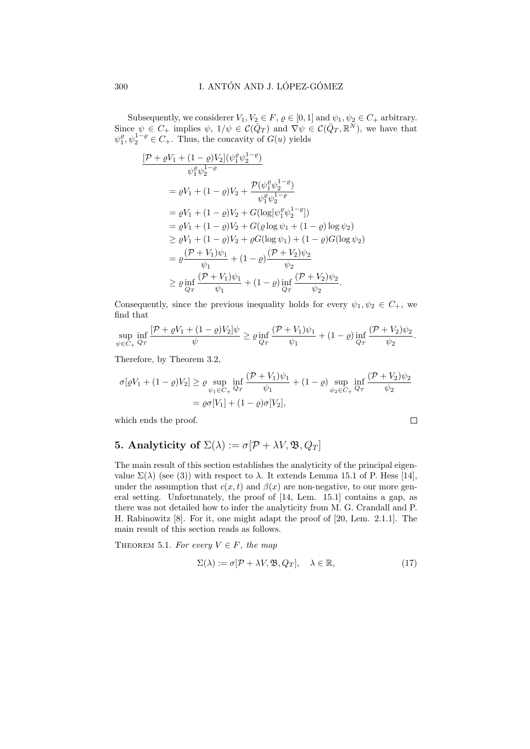Subsequently, we considerer  $V_1, V_2 \in F$ ,  $\varrho \in [0, 1]$  and  $\psi_1, \psi_2 \in C_+$  arbitrary. Since  $\psi \in C_+$  implies  $\psi$ ,  $1/\psi \in C(\bar{Q}_T)$  and  $\nabla \psi \in C(\bar{Q}_T, \mathbb{R}^N)$ , we have that  $\psi_1^{\rho}, \psi_2^{1-\rho} \in C_+$ . Thus, the concavity of  $G(u)$  yields

$$
\frac{[\mathcal{P} + \varrho V_1 + (1 - \varrho)V_2](\psi_1^{\varrho}\psi_2^{1 - \varrho})}{\psi_1^{\varrho}\psi_2^{1 - \varrho}}
$$
\n
$$
= \varrho V_1 + (1 - \varrho)V_2 + \frac{\mathcal{P}(\psi_1^{\varrho}\psi_2^{1 - \varrho})}{\psi_1^{\varrho}\psi_2^{1 - \varrho}}
$$
\n
$$
= \varrho V_1 + (1 - \varrho)V_2 + G(\log[\psi_1^{\varrho}\psi_2^{1 - \varrho}])
$$
\n
$$
= \varrho V_1 + (1 - \varrho)V_2 + G(\varrho \log \psi_1 + (1 - \varrho) \log \psi_2)
$$
\n
$$
\geq \varrho V_1 + (1 - \varrho)V_2 + \varrho G(\log \psi_1) + (1 - \varrho)G(\log \psi_2)
$$
\n
$$
= \varrho \frac{(\mathcal{P} + V_1)\psi_1}{\psi_1} + (1 - \varrho)\frac{(\mathcal{P} + V_2)\psi_2}{\psi_2}
$$
\n
$$
\geq \varrho \inf_{Q_T} \frac{(\mathcal{P} + V_1)\psi_1}{\psi_1} + (1 - \varrho) \inf_{Q_T} \frac{(\mathcal{P} + V_2)\psi_2}{\psi_2}.
$$

Consequently, since the previous inequality holds for every  $\psi_1, \psi_2 \in C_+$ , we find that

$$
\sup_{\psi \in C_+} \inf_{Q_T} \frac{[\mathcal{P} + \varrho V_1 + (1 - \varrho) V_2] \psi}{\psi} \ge \varrho \inf_{Q_T} \frac{(\mathcal{P} + V_1)\psi_1}{\psi_1} + (1 - \varrho) \inf_{Q_T} \frac{(\mathcal{P} + V_2)\psi_2}{\psi_2}.
$$

Therefore, by Theorem 3.2,

$$
\sigma[\varrho V_1 + (1 - \varrho)V_2] \ge \varrho \sup_{\psi_1 \in C_+} \inf_{Q_T} \frac{(\mathcal{P} + V_1)\psi_1}{\psi_1} + (1 - \varrho) \sup_{\psi_2 \in C_+} \inf_{Q_T} \frac{(\mathcal{P} + V_2)\psi_2}{\psi_2}
$$
  
=  $\varrho \sigma[V_1] + (1 - \varrho)\sigma[V_2],$ 

which ends the proof.

$$
f_{\rm{max}}
$$

 $\Box$ 

# 5. Analyticity of  $\Sigma(\lambda) := \sigma[\mathcal{P} + \lambda V, \mathfrak{B}, Q_T]$

The main result of this section establishes the analyticity of the principal eigenvalue  $\Sigma(\lambda)$  (see (3)) with respect to  $\lambda$ . It extends Lemma 15.1 of P. Hess [14], under the assumption that  $c(x, t)$  and  $\beta(x)$  are non-negative, to our more general setting. Unfortunately, the proof of [14, Lem. 15.1] contains a gap, as there was not detailed how to infer the analyticity from M. G. Crandall and P. H. Rabinowitz [8]. For it, one might adapt the proof of [20, Lem. 2.1.1]. The main result of this section reads as follows.

THEOREM 5.1. For every  $V \in F$ , the map

$$
\Sigma(\lambda) := \sigma[\mathcal{P} + \lambda V, \mathfrak{B}, Q_T], \quad \lambda \in \mathbb{R}, \tag{17}
$$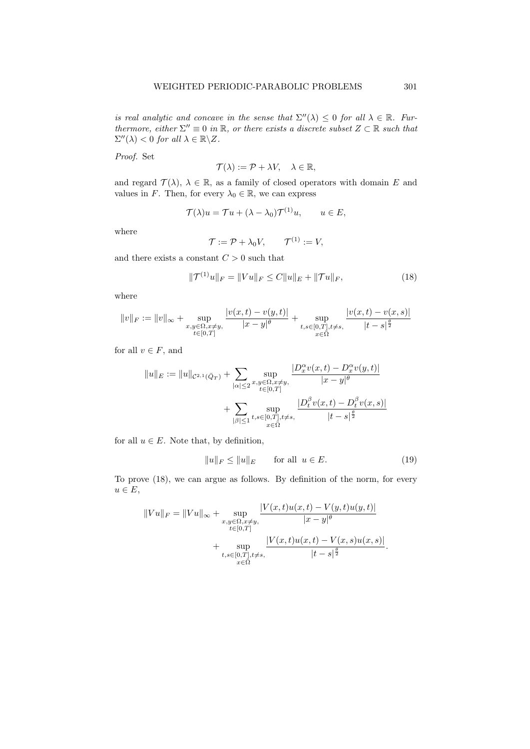is real analytic and concave in the sense that  $\Sigma''(\lambda) \leq 0$  for all  $\lambda \in \mathbb{R}$ . Furthermore, either  $\Sigma'' \equiv 0$  in  $\mathbb{R}$ , or there exists a discrete subset  $Z \subset \mathbb{R}$  such that  $\Sigma''(\lambda) < 0$  for all  $\lambda \in \mathbb{R} \backslash Z$ .

Proof. Set

$$
\mathcal{T}(\lambda) := \mathcal{P} + \lambda V, \quad \lambda \in \mathbb{R},
$$

and regard  $\mathcal{T}(\lambda)$ ,  $\lambda \in \mathbb{R}$ , as a family of closed operators with domain E and values in F. Then, for every  $\lambda_0 \in \mathbb{R}$ , we can express

$$
\mathcal{T}(\lambda)u = \mathcal{T}u + (\lambda - \lambda_0)\mathcal{T}^{(1)}u, \qquad u \in E,
$$

where

$$
\mathcal{T} := \mathcal{P} + \lambda_0 V, \qquad \mathcal{T}^{(1)} := V,
$$

and there exists a constant  ${\cal C}>0$  such that

$$
\|\mathcal{T}^{(1)}u\|_{F} = \|Vu\|_{F} \le C\|u\|_{E} + \|\mathcal{T}u\|_{F},\tag{18}
$$

where

$$
\|v\|_F:=\|v\|_\infty+\sup_{\substack{x,y\in\Omega,x\neq y,\\t\in[0,T]}}\frac{|v(x,t)-v(y,t)|}{|x-y|^\theta}+\sup_{\substack{t,s\in[0,T],t\neq s,\\x\in\Omega}}\frac{|v(x,t)-v(x,s)|}{|t-s|^\frac{\theta}{2}}
$$

for all  $v \in F$ , and

$$
||u||_E := ||u||_{\mathcal{C}^{2,1}(\bar{Q}_T)} + \sum_{|\alpha| \le 2} \sup_{\substack{x,y \in \Omega, x \neq y, \\ t \in [0,T]}} \frac{|D_x^{\alpha} v(x,t) - D_x^{\alpha} v(y,t)|}{|x-y|^{\theta}} + \sum_{|\beta| \le 1} \sup_{t,s \in [0,T], t \neq s,} \frac{|D_t^{\beta} v(x,t) - D_t^{\beta} v(x,s)|}{|t-s|^{\frac{\theta}{2}}}
$$

for all  $u \in E$ . Note that, by definition,

$$
||u||_F \le ||u||_E \qquad \text{for all } u \in E. \tag{19}
$$

To prove (18), we can argue as follows. By definition of the norm, for every  $u \in E$ ,

$$
||Vu||_F = ||Vu||_{\infty} + \sup_{\substack{x,y \in \Omega, x \neq y, \\ t \in [0,T] \\ t,s \in [0,T], t \neq s,}} \frac{|V(x,t)u(x,t) - V(y,t)u(y,t)|}{|x - y|^{\theta}} + \sup_{\substack{t,s \in [0,T], t \neq s, \\ x \in \bar{\Omega}}} \frac{|V(x,t)u(x,t) - V(x,s)u(x,s)|}{|t - s|^{\frac{\theta}{2}}}.
$$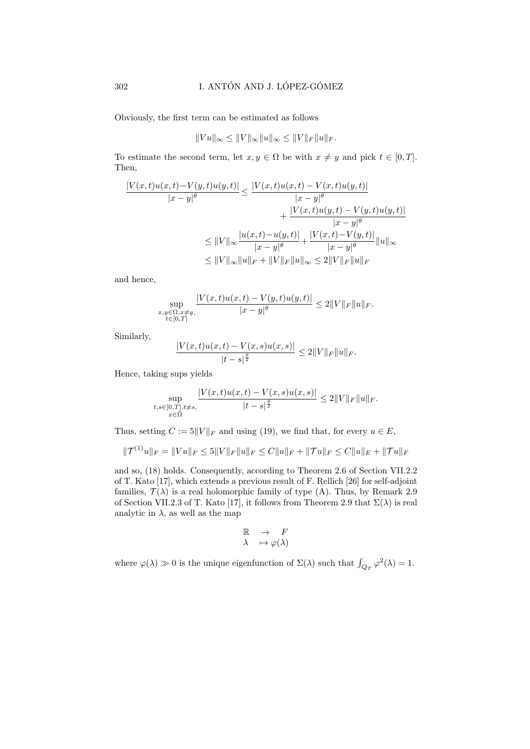Obviously, the first term can be estimated as follows

$$
||Vu||_{\infty} \le ||V||_{\infty} ||u||_{\infty} \le ||V||_F ||u||_F.
$$

To estimate the second term, let  $x, y \in \Omega$  be with  $x \neq y$  and pick  $t \in [0, T]$ . Then,

$$
\frac{|V(x,t)u(x,t)-V(y,t)u(y,t)|}{|x-y|^{\theta}} \le \frac{|V(x,t)u(x,t)-V(x,t)u(y,t)|}{|x-y|^{\theta}} + \frac{|V(x,t)u(y,t)-V(y,t)u(y,t)|}{|x-y|^{\theta}} \le ||V||_{\infty} \frac{|u(x,t)-u(y,t)|}{|x-y|^{\theta}} + \frac{|V(x,t)-V(y,t)|}{|x-y|^{\theta}} ||u||_{\infty} \le ||V||_{\infty} ||u||_{F} + ||V||_{F} ||u||_{\infty} \le 2||V||_{F} ||u||_{F}
$$

and hence,

$$
\sup_{\substack{x,y \in \Omega, x \neq y, \\ t \in [0,T]}} \frac{|V(x,t)u(x,t) - V(y,t)u(y,t)|}{|x - y|^{\theta}} \leq 2||V||_F ||u||_F.
$$

Similarly,

$$
\frac{|V(x,t)u(x,t) - V(x,s)u(x,s)|}{|t-s|^{\frac{\beta}{2}}} \le 2||V||_F||u||_F.
$$

Hence, taking sups yields

$$
\sup_{\substack{t,s\in[0,T],t\neq s,\\x\in\bar{\Omega}}} \frac{|V(x,t)u(x,t)-V(x,s)u(x,s)|}{|t-s|^{\frac{\theta}{2}}}\leq 2\|V\|_F\|u\|_F.
$$

Thus, setting  $C := 5||V||_F$  and using (19), we find that, for every  $u \in E$ ,

$$
\|\mathcal{T}^{(1)}u\|_{F} = \|Vu\|_{F} \le 5\|V\|_{F}\|u\|_{F} \le C\|u\|_{F} + \|\mathcal{T}u\|_{F} \le C\|u\|_{E} + \|\mathcal{T}u\|_{F}
$$

and so, (18) holds. Consequently, according to Theorem 2.6 of Section VII.2.2 of T. Kato [17], which extends a previous result of F. Rellich [26] for self-adjoint families,  $\mathcal{T}(\lambda)$  is a real holomorphic family of type (A). Thus, by Remark 2.9 of Section VII.2.3 of T. Kato [17], it follows from Theorem 2.9 that  $\Sigma(\lambda)$  is real analytic in  $\lambda$ , as well as the map

$$
\mathbb{R} \quad \to \quad F
$$

$$
\lambda \quad \mapsto \varphi(\lambda)
$$

where  $\varphi(\lambda) \gg 0$  is the unique eigenfunction of  $\Sigma(\lambda)$  such that  $\int_{Q_T} \varphi^2(\lambda) = 1$ .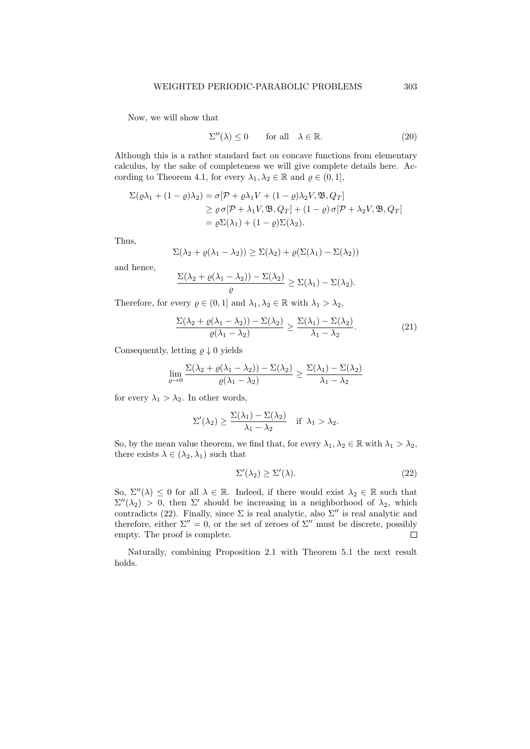Now, we will show that

$$
\Sigma''(\lambda) \le 0 \qquad \text{for all} \quad \lambda \in \mathbb{R}.\tag{20}
$$

Although this is a rather standard fact on concave functions from elementary calculus, by the sake of completeness we will give complete details here. According to Theorem 4.1, for every  $\lambda_1, \lambda_2 \in \mathbb{R}$  and  $\varrho \in (0, 1],$ 

$$
\Sigma(\varrho\lambda_1 + (1-\varrho)\lambda_2) = \sigma[\mathcal{P} + \varrho\lambda_1 V + (1-\varrho)\lambda_2 V, \mathfrak{B}, Q_T]
$$
  
\n
$$
\geq \varrho \sigma[\mathcal{P} + \lambda_1 V, \mathfrak{B}, Q_T] + (1-\varrho) \sigma[\mathcal{P} + \lambda_2 V, \mathfrak{B}, Q_T]
$$
  
\n
$$
= \varrho\Sigma(\lambda_1) + (1-\varrho)\Sigma(\lambda_2).
$$

Thus,

$$
\Sigma(\lambda_2 + \varrho(\lambda_1 - \lambda_2)) \geq \Sigma(\lambda_2) + \varrho(\Sigma(\lambda_1) - \Sigma(\lambda_2))
$$

and hence,

$$
\frac{\Sigma(\lambda_2 + \varrho(\lambda_1 - \lambda_2)) - \Sigma(\lambda_2)}{\varrho} \geq \Sigma(\lambda_1) - \Sigma(\lambda_2).
$$

Therefore, for every  $\varrho \in (0,1]$  and  $\lambda_1, \lambda_2 \in \mathbb{R}$  with  $\lambda_1 > \lambda_2$ ,

$$
\frac{\Sigma(\lambda_2 + \varrho(\lambda_1 - \lambda_2)) - \Sigma(\lambda_2)}{\varrho(\lambda_1 - \lambda_2)} \ge \frac{\Sigma(\lambda_1) - \Sigma(\lambda_2)}{\lambda_1 - \lambda_2}.
$$
\n(21)

Consequently, letting  $\rho \downarrow 0$  yields

$$
\lim_{\varrho\to 0}\frac{\Sigma(\lambda_2+\varrho(\lambda_1-\lambda_2))-\Sigma(\lambda_2)}{\varrho(\lambda_1-\lambda_2)}\geq \frac{\Sigma(\lambda_1)-\Sigma(\lambda_2)}{\lambda_1-\lambda_2}
$$

for every  $\lambda_1 > \lambda_2$ . In other words,

$$
\Sigma'(\lambda_2) \ge \frac{\Sigma(\lambda_1) - \Sigma(\lambda_2)}{\lambda_1 - \lambda_2} \quad \text{if } \lambda_1 > \lambda_2.
$$

So, by the mean value theorem, we find that, for every  $\lambda_1, \lambda_2 \in \mathbb{R}$  with  $\lambda_1 > \lambda_2$ , there exists  $\lambda \in (\lambda_2, \lambda_1)$  such that

$$
\Sigma'(\lambda_2) \ge \Sigma'(\lambda). \tag{22}
$$

So,  $\Sigma''(\lambda) \leq 0$  for all  $\lambda \in \mathbb{R}$ . Indeed, if there would exist  $\lambda_2 \in \mathbb{R}$  such that  $\Sigma''(\lambda_2) > 0$ , then  $\Sigma'$  should be increasing in a neighborhood of  $\lambda_2$ , which contradicts (22). Finally, since  $\Sigma$  is real analytic, also  $\Sigma''$  is real analytic and therefore, either  $\Sigma'' = 0$ , or the set of zeroes of  $\Sigma''$  must be discrete, possibly empty. The proof is complete.  $\Box$ 

Naturally, combining Proposition 2.1 with Theorem 5.1 the next result holds.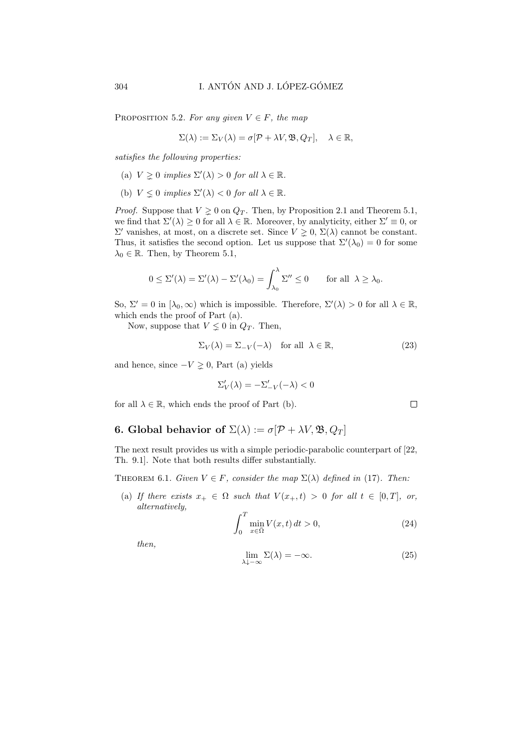PROPOSITION 5.2. For any given  $V \in F$ , the map

$$
\Sigma(\lambda) := \Sigma_V(\lambda) = \sigma[\mathcal{P} + \lambda V, \mathfrak{B}, Q_T], \quad \lambda \in \mathbb{R},
$$

satisfies the following properties:

- (a)  $V \geq 0$  implies  $\Sigma'(\lambda) > 0$  for all  $\lambda \in \mathbb{R}$ .
- (b)  $V \leq 0$  implies  $\Sigma'(\lambda) < 0$  for all  $\lambda \in \mathbb{R}$ .

*Proof.* Suppose that  $V \geq 0$  on  $Q_T$ . Then, by Proposition 2.1 and Theorem 5.1, we find that  $\Sigma'(\lambda) \geq 0$  for all  $\lambda \in \mathbb{R}$ . Moreover, by analyticity, either  $\Sigma' \equiv 0$ , or  $\Sigma'$  vanishes, at most, on a discrete set. Since  $V ">= 0, Σ(λ)$  cannot be constant. Thus, it satisfies the second option. Let us suppose that  $\Sigma'(\lambda_0) = 0$  for some  $\lambda_0 \in \mathbb{R}$ . Then, by Theorem 5.1,

$$
0 \leq \Sigma'(\lambda) = \Sigma'(\lambda) - \Sigma'(\lambda_0) = \int_{\lambda_0}^{\lambda} \Sigma'' \leq 0 \quad \text{for all } \lambda \geq \lambda_0.
$$

So,  $\Sigma' = 0$  in  $[\lambda_0, \infty)$  which is impossible. Therefore,  $\Sigma'(\lambda) > 0$  for all  $\lambda \in \mathbb{R}$ , which ends the proof of Part (a).

Now, suppose that  $V \leq 0$  in  $Q_T$ . Then,

$$
\Sigma_V(\lambda) = \Sigma_{-V}(-\lambda) \quad \text{for all } \lambda \in \mathbb{R}, \tag{23}
$$

and hence, since  $-V \geq 0$ , Part (a) yields

$$
\Sigma_V'(\lambda) = -\Sigma_{-V}'(-\lambda) < 0
$$

for all  $\lambda \in \mathbb{R}$ , which ends the proof of Part (b).

## 6. Global behavior of  $\Sigma(\lambda) := \sigma[\mathcal{P} + \lambda V, \mathfrak{B}, Q_T]$

The next result provides us with a simple periodic-parabolic counterpart of [22, Th. 9.1]. Note that both results differ substantially.

THEOREM 6.1. Given  $V \in F$ , consider the map  $\Sigma(\lambda)$  defined in (17). Then:

(a) If there exists  $x_+ \in \Omega$  such that  $V(x_+, t) > 0$  for all  $t \in [0, T]$ , or, alternatively,

$$
\int_{0}^{T} \min_{x \in \bar{\Omega}} V(x, t) dt > 0,
$$
\n(24)

then,

$$
\lim_{\lambda \downarrow -\infty} \Sigma(\lambda) = -\infty. \tag{25}
$$

$$
\sqcup
$$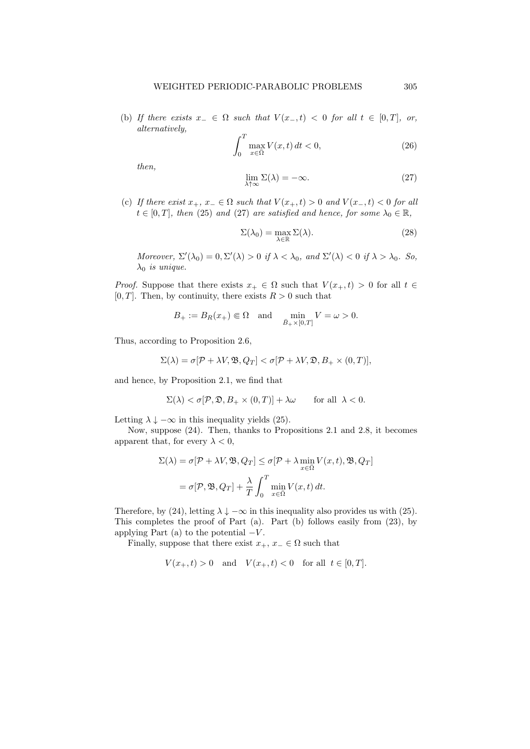(b) If there exists  $x_-\in\Omega$  such that  $V(x_-,t) < 0$  for all  $t \in [0,T]$ , or, alternatively,

$$
\int_{0}^{T} \max_{x \in \bar{\Omega}} V(x, t) dt < 0,\tag{26}
$$

then,

$$
\lim_{\lambda \uparrow \infty} \Sigma(\lambda) = -\infty. \tag{27}
$$

(c) If there exist  $x_+, x_-\in \Omega$  such that  $V(x_+, t) > 0$  and  $V(x_-, t) < 0$  for all  $t \in [0, T]$ , then (25) and (27) are satisfied and hence, for some  $\lambda_0 \in \mathbb{R}$ ,

$$
\Sigma(\lambda_0) = \max_{\lambda \in \mathbb{R}} \Sigma(\lambda). \tag{28}
$$

Moreover,  $\Sigma'(\lambda_0) = 0$ ,  $\Sigma'(\lambda) > 0$  if  $\lambda < \lambda_0$ , and  $\Sigma'(\lambda) < 0$  if  $\lambda > \lambda_0$ . So,  $\lambda_0$  is unique.

*Proof.* Suppose that there exists  $x_+ \in \Omega$  such that  $V(x_+, t) > 0$  for all  $t \in$ [0, T]. Then, by continuity, there exists  $R > 0$  such that

$$
B_+:=B_R(x_+)\Subset\Omega\quad\text{and}\quad\min_{\bar{B}_+\times[0,T]}V=\omega>0.
$$

Thus, according to Proposition 2.6,

$$
\Sigma(\lambda) = \sigma[\mathcal{P} + \lambda V, \mathfrak{B}, Q_T] < \sigma[\mathcal{P} + \lambda V, \mathfrak{D}, B_+ \times (0, T)],
$$

and hence, by Proposition 2.1, we find that

$$
\Sigma(\lambda) < \sigma[\mathcal{P}, \mathfrak{D}, B_+ \times (0, T)] + \lambda \omega \qquad \text{for all } \lambda < 0.
$$

Letting  $\lambda \downarrow -\infty$  in this inequality yields (25).

Now, suppose (24). Then, thanks to Propositions 2.1 and 2.8, it becomes apparent that, for every  $\lambda < 0$ ,

$$
\Sigma(\lambda) = \sigma[\mathcal{P} + \lambda V, \mathfrak{B}, Q_T] \leq \sigma[\mathcal{P} + \lambda \min_{x \in \Omega} V(x, t), \mathfrak{B}, Q_T]
$$

$$
= \sigma[\mathcal{P}, \mathfrak{B}, Q_T] + \frac{\lambda}{T} \int_0^T \min_{x \in \Omega} V(x, t) dt.
$$

Therefore, by (24), letting  $\lambda \downarrow -\infty$  in this inequality also provides us with (25). This completes the proof of Part (a). Part (b) follows easily from (23), by applying Part (a) to the potential  $-V$ .

Finally, suppose that there exist  $x_+$ ,  $x_-\in\Omega$  such that

$$
V(x_{+}, t) > 0
$$
 and  $V(x_{+}, t) < 0$  for all  $t \in [0, T]$ .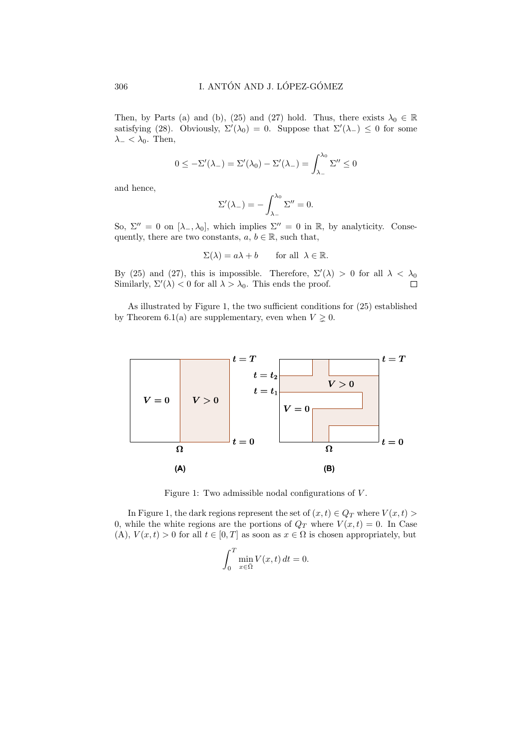Then, by Parts (a) and (b), (25) and (27) hold. Thus, there exists  $\lambda_0 \in \mathbb{R}$ satisfying (28). Obviously,  $\Sigma'(\lambda_0) = 0$ . Suppose that  $\Sigma'(\lambda_-) \leq 0$  for some  $\lambda_{-}<\lambda_{0}$ . Then,

$$
0 \leq -\Sigma'(\lambda_-) = \Sigma'(\lambda_0) - \Sigma'(\lambda_-) = \int_{\lambda_-}^{\lambda_0} \Sigma'' \leq 0
$$

and hence,

$$
\Sigma'(\lambda_{-})=-\int_{\lambda_{-}}^{\lambda_{0}}\Sigma''=0.
$$

So,  $\Sigma'' = 0$  on  $[\lambda_-, \lambda_0]$ , which implies  $\Sigma'' = 0$  in R, by analyticity. Consequently, there are two constants,  $a, b \in \mathbb{R}$ , such that,

$$
\Sigma(\lambda) = a\lambda + b \quad \text{for all } \lambda \in \mathbb{R}.
$$

By (25) and (27), this is impossible. Therefore,  $\Sigma'(\lambda) > 0$  for all  $\lambda < \lambda_0$ Similarly,  $\Sigma'(\lambda) < 0$  for all  $\lambda > \lambda_0$ . This ends the proof.  $\Box$ 

As illustrated by Figure 1, the two sufficient conditions for (25) established by Theorem 6.1(a) are supplementary, even when  $V \geq 0$ .



Figure 1: Two admissible nodal configurations of V .

In Figure 1, the dark regions represent the set of  $(x, t) \in Q_T$  where  $V(x, t) >$ 0, while the white regions are the portions of  $Q_T$  where  $V(x,t) = 0$ . In Case (A),  $V(x,t) > 0$  for all  $t \in [0,T]$  as soon as  $x \in \Omega$  is chosen appropriately, but

$$
\int_0^T \min_{x \in \bar{\Omega}} V(x, t) dt = 0.
$$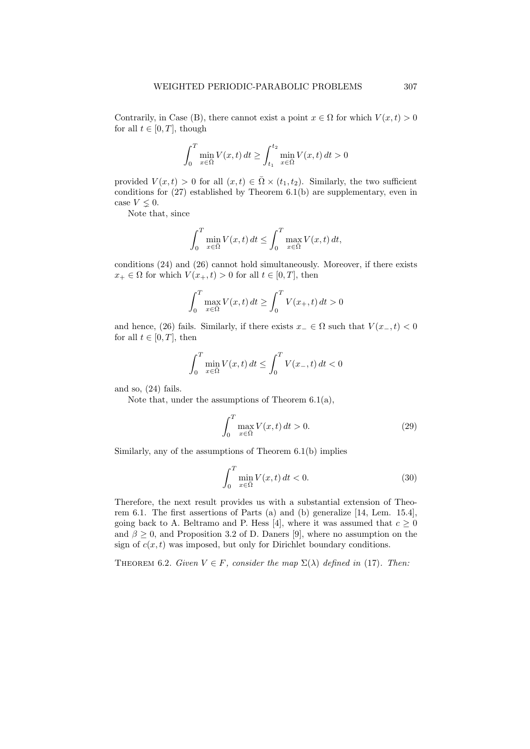Contrarily, in Case (B), there cannot exist a point  $x \in \Omega$  for which  $V(x, t) > 0$ for all  $t \in [0, T]$ , though

$$
\int_0^T \min_{x \in \bar{\Omega}} V(x, t) dt \ge \int_{t_1}^{t_2} \min_{x \in \bar{\Omega}} V(x, t) dt > 0
$$

provided  $V(x,t) > 0$  for all  $(x,t) \in \overline{\Omega} \times (t_1,t_2)$ . Similarly, the two sufficient conditions for (27) established by Theorem 6.1(b) are supplementary, even in case  $V \leq 0$ .

Note that, since

$$
\int_0^T \min_{x \in \Omega} V(x, t) dt \le \int_0^T \max_{x \in \Omega} V(x, t) dt,
$$

conditions (24) and (26) cannot hold simultaneously. Moreover, if there exists  $x_+ \in \Omega$  for which  $V(x_+, t) > 0$  for all  $t \in [0, T]$ , then

$$
\int_0^T \max_{x \in \Omega} V(x, t) dt \ge \int_0^T V(x_+, t) dt > 0
$$

and hence, (26) fails. Similarly, if there exists  $x_-\in\Omega$  such that  $V(x_-,t)<0$ for all  $t \in [0, T]$ , then

$$
\int_0^T \min_{x \in \Omega} V(x, t) dt \le \int_0^T V(x_-, t) dt < 0
$$

and so, (24) fails.

Note that, under the assumptions of Theorem 6.1(a),

$$
\int_{0}^{T} \max_{x \in \Omega} V(x, t) dt > 0.
$$
 (29)

Similarly, any of the assumptions of Theorem 6.1(b) implies

$$
\int_{0}^{T} \min_{x \in \Omega} V(x, t) dt < 0.
$$
\n(30)

Therefore, the next result provides us with a substantial extension of Theorem 6.1. The first assertions of Parts (a) and (b) generalize [14, Lem. 15.4], going back to A. Beltramo and P. Hess [4], where it was assumed that  $c \geq 0$ and  $\beta \geq 0$ , and Proposition 3.2 of D. Daners [9], where no assumption on the sign of  $c(x, t)$  was imposed, but only for Dirichlet boundary conditions.

THEOREM 6.2. Given  $V \in F$ , consider the map  $\Sigma(\lambda)$  defined in (17). Then: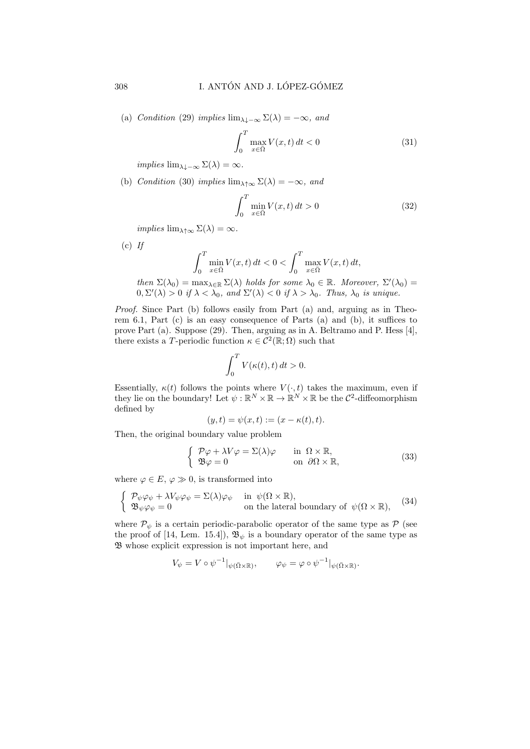(a) Condition (29) implies  $\lim_{\lambda \downarrow -\infty} \Sigma(\lambda) = -\infty$ , and

$$
\int_{0}^{T} \max_{x \in \bar{\Omega}} V(x, t) dt < 0 \tag{31}
$$

implies  $\lim_{\lambda \to \infty} \Sigma(\lambda) = \infty$ .

(b) Condition (30) implies  $\lim_{\lambda \uparrow \infty} \Sigma(\lambda) = -\infty$ , and

$$
\int_0^T \min_{x \in \overline{\Omega}} V(x, t) dt > 0
$$
\n(32)

implies  $\lim_{\lambda \uparrow \infty} \Sigma(\lambda) = \infty$ .

 $(c)$  If

$$
\int_0^T \min_{x \in \bar{\Omega}} V(x, t) dt < 0 < \int_0^T \max_{x \in \bar{\Omega}} V(x, t) dt,
$$

then  $\Sigma(\lambda_0) = \max_{\lambda \in \mathbb{R}} \Sigma(\lambda)$  holds for some  $\lambda_0 \in \mathbb{R}$ . Moreover,  $\Sigma'(\lambda_0) =$  $0, \Sigma'(\lambda) > 0$  if  $\lambda < \lambda_0$ , and  $\Sigma'(\lambda) < 0$  if  $\lambda > \lambda_0$ . Thus,  $\lambda_0$  is unique.

Proof. Since Part (b) follows easily from Part (a) and, arguing as in Theorem 6.1, Part (c) is an easy consequence of Parts (a) and (b), it suffices to prove Part (a). Suppose (29). Then, arguing as in A. Beltramo and P. Hess [4], there exists a T-periodic function  $\kappa \in C^2(\mathbb{R};\Omega)$  such that

$$
\int_0^T V(\kappa(t),t) dt > 0.
$$

Essentially,  $\kappa(t)$  follows the points where  $V(\cdot, t)$  takes the maximum, even if they lie on the boundary! Let  $\psi : \mathbb{R}^N \times \mathbb{R} \to \mathbb{R}^N \times \mathbb{R}$  be the  $\mathcal{C}^2$ -diffeomorphism defined by

$$
(y,t) = \psi(x,t) := (x - \kappa(t),t).
$$

Then, the original boundary value problem

$$
\begin{cases}\n\mathcal{P}\varphi + \lambda V \varphi = \Sigma(\lambda)\varphi & \text{in } \Omega \times \mathbb{R}, \\
\mathfrak{B}\varphi = 0 & \text{on } \partial\Omega \times \mathbb{R},\n\end{cases}
$$
\n(33)

where  $\varphi \in E$ ,  $\varphi \gg 0$ , is transformed into

$$
\begin{cases}\n\mathcal{P}_{\psi}\varphi_{\psi} + \lambda V_{\psi}\varphi_{\psi} = \Sigma(\lambda)\varphi_{\psi} & \text{in } \psi(\Omega \times \mathbb{R}), \\
\mathfrak{B}_{\psi}\varphi_{\psi} = 0 & \text{on the lateral boundary of } \psi(\Omega \times \mathbb{R}),\n\end{cases}
$$
\n(34)

where  $\mathcal{P}_{\psi}$  is a certain periodic-parabolic operator of the same type as  $\mathcal P$  (see the proof of [14, Lem. 15.4]),  $\mathfrak{B}_{\psi}$  is a boundary operator of the same type as B whose explicit expression is not important here, and

$$
V_{\psi} = V \circ \psi^{-1}|_{\psi(\bar{\Omega} \times \mathbb{R})}, \qquad \varphi_{\psi} = \varphi \circ \psi^{-1}|_{\psi(\bar{\Omega} \times \mathbb{R})}.
$$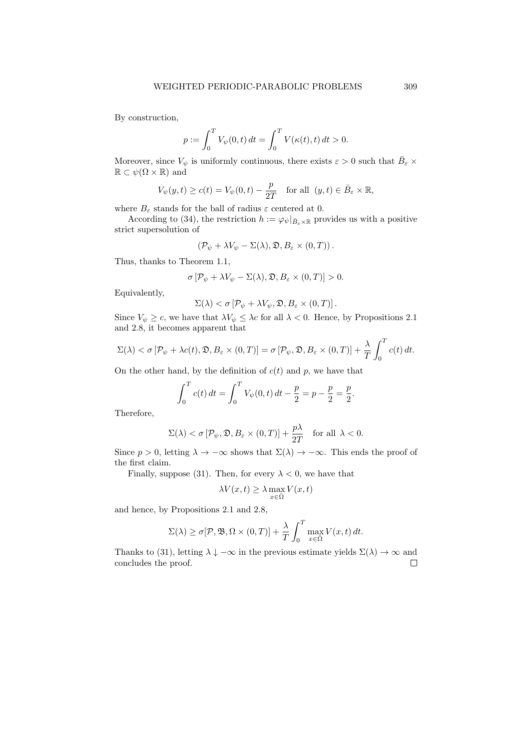By construction,

$$
p := \int_0^T V_{\psi}(0, t) dt = \int_0^T V(\kappa(t), t) dt > 0.
$$

Moreover, since  $V_{\psi}$  is uniformly continuous, there exists  $\varepsilon > 0$  such that  $\bar{B}_{\varepsilon} \times$  $\mathbb{R} \subset \psi(\Omega \times \mathbb{R})$  and

$$
V_{\psi}(y,t) \ge c(t) = V_{\psi}(0,t) - \frac{p}{2T} \quad \text{for all } (y,t) \in \bar{B}_{\varepsilon} \times \mathbb{R},
$$

where  $B_{\varepsilon}$  stands for the ball of radius  $\varepsilon$  centered at 0.

According to (34), the restriction  $h := \varphi_{\psi}|_{\bar{B}_{\varepsilon} \times \mathbb{R}}$  provides us with a positive strict supersolution of

$$
(\mathcal{P}_{\psi} + \lambda V_{\psi} - \Sigma(\lambda), \mathfrak{D}, B_{\varepsilon} \times (0, T)).
$$

Thus, thanks to Theorem 1.1,

$$
\sigma \left[ \mathcal{P}_{\psi} + \lambda V_{\psi} - \Sigma(\lambda), \mathfrak{D}, B_{\varepsilon} \times (0, T) \right] > 0.
$$

Equivalently,

$$
\Sigma(\lambda) < \sigma \left[ \mathcal{P}_{\psi} + \lambda V_{\psi}, \mathfrak{D}, B_{\varepsilon} \times (0, T) \right].
$$

Since  $V_{\psi} \geq c$ , we have that  $\lambda V_{\psi} \leq \lambda c$  for all  $\lambda < 0$ . Hence, by Propositions 2.1 and 2.8, it becomes apparent that

$$
\Sigma(\lambda) < \sigma \left[ \mathcal{P}_{\psi} + \lambda c(t), \mathfrak{D}, B_{\varepsilon} \times (0, T) \right] = \sigma \left[ \mathcal{P}_{\psi}, \mathfrak{D}, B_{\varepsilon} \times (0, T) \right] + \frac{\lambda}{T} \int_{0}^{T} c(t) \, dt.
$$

On the other hand, by the definition of  $c(t)$  and p, we have that

$$
\int_0^T c(t) dt = \int_0^T V_{\psi}(0, t) dt - \frac{p}{2} = p - \frac{p}{2} = \frac{p}{2}.
$$

Therefore,

$$
\Sigma(\lambda) < \sigma \left[ \mathcal{P}_{\psi}, \mathfrak{D}, B_{\varepsilon} \times (0, T) \right] + \frac{p\lambda}{2T} \quad \text{for all } \lambda < 0.
$$

Since  $p > 0$ , letting  $\lambda \to -\infty$  shows that  $\Sigma(\lambda) \to -\infty$ . This ends the proof of the first claim.

Finally, suppose (31). Then, for every  $\lambda < 0$ , we have that

$$
\lambda V(x,t) \ge \lambda \max_{x \in \bar{\Omega}} V(x,t)
$$

and hence, by Propositions 2.1 and 2.8,

$$
\Sigma(\lambda) \ge \sigma[\mathcal{P}, \mathfrak{B}, \Omega \times (0, T)] + \frac{\lambda}{T} \int_0^T \max_{x \in \Omega} V(x, t) dt.
$$

Thanks to (31), letting  $\lambda \downarrow -\infty$  in the previous estimate yields  $\Sigma(\lambda) \to \infty$  and concludes the proof. $\Box$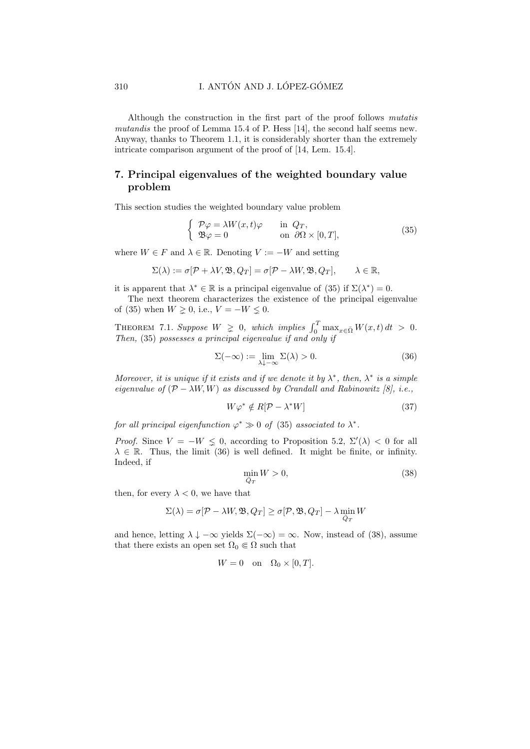Although the construction in the first part of the proof follows mutatis mutandis the proof of Lemma 15.4 of P. Hess [14], the second half seems new. Anyway, thanks to Theorem 1.1, it is considerably shorter than the extremely intricate comparison argument of the proof of [14, Lem. 15.4].

### 7. Principal eigenvalues of the weighted boundary value problem

This section studies the weighted boundary value problem

$$
\begin{cases}\n\mathcal{P}\varphi = \lambda W(x,t)\varphi & \text{in } Q_T, \\
\mathfrak{B}\varphi = 0 & \text{on } \partial\Omega \times [0,T],\n\end{cases}
$$
\n(35)

where  $W \in F$  and  $\lambda \in \mathbb{R}$ . Denoting  $V := -W$  and setting

$$
\Sigma(\lambda) := \sigma[\mathcal{P} + \lambda V, \mathfrak{B}, Q_T] = \sigma[\mathcal{P} - \lambda W, \mathfrak{B}, Q_T], \qquad \lambda \in \mathbb{R},
$$

it is apparent that  $\lambda^* \in \mathbb{R}$  is a principal eigenvalue of (35) if  $\Sigma(\lambda^*) = 0$ .

The next theorem characterizes the existence of the principal eigenvalue of (35) when  $W \ge 0$ , i.e.,  $V = -W \le 0$ .

THEOREM 7.1. Suppose  $W \geq 0$ , which implies  $\int_0^T \max_{x \in \bar{\Omega}} W(x, t) dt > 0$ . Then, (35) possesses a principal eigenvalue if and only if

$$
\Sigma(-\infty) := \lim_{\lambda \downarrow -\infty} \Sigma(\lambda) > 0. \tag{36}
$$

Moreover, it is unique if it exists and if we denote it by  $\lambda^*$ , then,  $\lambda^*$  is a simple eigenvalue of  $(\mathcal{P} - \lambda W, W)$  as discussed by Crandall and Rabinowitz [8], i.e.,

$$
W\varphi^* \notin R[\mathcal{P} - \lambda^* W] \tag{37}
$$

for all principal eigenfunction  $\varphi^* \gg 0$  of (35) associated to  $\lambda^*$ .

*Proof.* Since  $V = -W \leq 0$ , according to Proposition 5.2,  $\Sigma'(\lambda) < 0$  for all  $\lambda \in \mathbb{R}$ . Thus, the limit (36) is well defined. It might be finite, or infinity. Indeed, if

$$
\min_{\bar{Q}_T} W > 0,\tag{38}
$$

then, for every  $\lambda < 0$ , we have that

$$
\Sigma(\lambda) = \sigma[\mathcal{P} - \lambda W, \mathfrak{B}, Q_T] \ge \sigma[\mathcal{P}, \mathfrak{B}, Q_T] - \lambda \min_{\bar{Q}_T} W
$$

and hence, letting  $\lambda \downarrow -\infty$  yields  $\Sigma(-\infty) = \infty$ . Now, instead of (38), assume that there exists an open set  $\Omega_0 \in \Omega$  such that

$$
W = 0 \quad \text{on} \quad \Omega_0 \times [0, T].
$$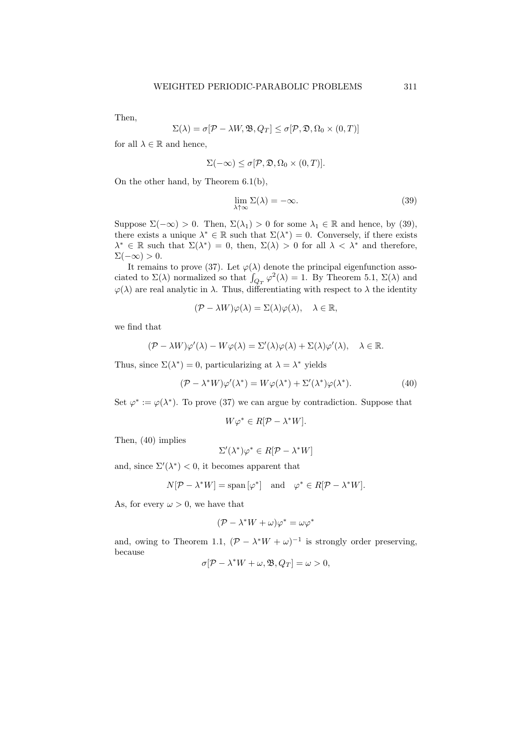Then,

$$
\Sigma(\lambda) = \sigma[\mathcal{P} - \lambda W, \mathfrak{B}, Q_T] \leq \sigma[\mathcal{P}, \mathfrak{D}, \Omega_0 \times (0, T)]
$$

for all  $\lambda \in \mathbb{R}$  and hence,

$$
\Sigma(-\infty) \le \sigma[\mathcal{P}, \mathfrak{D}, \Omega_0 \times (0, T)].
$$

On the other hand, by Theorem 6.1(b),

$$
\lim_{\lambda \uparrow \infty} \Sigma(\lambda) = -\infty. \tag{39}
$$

Suppose  $\Sigma(-\infty) > 0$ . Then,  $\Sigma(\lambda_1) > 0$  for some  $\lambda_1 \in \mathbb{R}$  and hence, by (39), there exists a unique  $\lambda^* \in \mathbb{R}$  such that  $\Sigma(\lambda^*) = 0$ . Conversely, if there exists  $\lambda^* \in \mathbb{R}$  such that  $\Sigma(\lambda^*) = 0$ , then,  $\Sigma(\lambda) > 0$  for all  $\lambda < \lambda^*$  and therefore,  $\Sigma(-\infty) > 0.$ 

It remains to prove (37). Let  $\varphi(\lambda)$  denote the principal eigenfunction associated to  $\Sigma(\lambda)$  normalized so that  $\int_{Q_T} \varphi^2(\lambda) = 1$ . By Theorem 5.1,  $\Sigma(\lambda)$  and  $\varphi(\lambda)$  are real analytic in  $\lambda$ . Thus, differentiating with respect to  $\lambda$  the identity

$$
(\mathcal{P} - \lambda W)\varphi(\lambda) = \Sigma(\lambda)\varphi(\lambda), \quad \lambda \in \mathbb{R},
$$

we find that

$$
(\mathcal{P} - \lambda W)\varphi'(\lambda) - W\varphi(\lambda) = \Sigma'(\lambda)\varphi(\lambda) + \Sigma(\lambda)\varphi'(\lambda), \quad \lambda \in \mathbb{R}.
$$

Thus, since  $\Sigma(\lambda^*) = 0$ , particularizing at  $\lambda = \lambda^*$  yields

$$
(\mathcal{P} - \lambda^* W)\varphi'(\lambda^*) = W\varphi(\lambda^*) + \Sigma'(\lambda^*)\varphi(\lambda^*).
$$
 (40)

Set  $\varphi^* := \varphi(\lambda^*)$ . To prove (37) we can argue by contradiction. Suppose that

$$
W\varphi^* \in R[\mathcal{P} - \lambda^* W].
$$

Then, (40) implies

$$
\Sigma'(\lambda^*)\varphi^* \in R[\mathcal{P} - \lambda^*W]
$$

and, since  $\Sigma'(\lambda^*) < 0$ , it becomes apparent that

$$
N[\mathcal{P} - \lambda^* W] = \text{span}[\varphi^*] \quad \text{and} \quad \varphi^* \in R[\mathcal{P} - \lambda^* W].
$$

As, for every  $\omega > 0$ , we have that

$$
(\mathcal{P} - \lambda^* W + \omega)\varphi^* = \omega\varphi^*
$$

and, owing to Theorem 1.1,  $(\mathcal{P} - \lambda^* W + \omega)^{-1}$  is strongly order preserving, because

$$
\sigma[\mathcal{P} - \lambda^* W + \omega, \mathfrak{B}, Q_T] = \omega > 0,
$$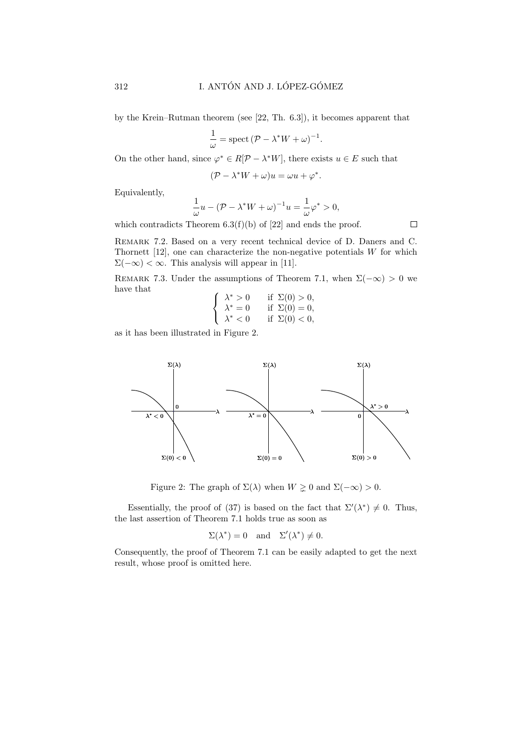by the Krein–Rutman theorem (see [22, Th. 6.3]), it becomes apparent that

$$
\frac{1}{\omega} = \operatorname{spect} (\mathcal{P} - \lambda^* W + \omega)^{-1}.
$$

On the other hand, since  $\varphi^* \in R[\mathcal{P} - \lambda^* W]$ , there exists  $u \in E$  such that

 $(\mathcal{P} - \lambda^* W + \omega)u = \omega u + \varphi^*.$ 

Equivalently,

$$
\frac{1}{\omega}u - (\mathcal{P} - \lambda^*W + \omega)^{-1}u = \frac{1}{\omega}\varphi^* > 0,
$$

which contradicts Theorem  $6.3(f)(b)$  of [22] and ends the proof.

Remark 7.2. Based on a very recent technical device of D. Daners and C. Thornett  $[12]$ , one can characterize the non-negative potentials W for which  $\Sigma(-\infty) < \infty$ . This analysis will appear in [11].

REMARK 7.3. Under the assumptions of Theorem 7.1, when  $\Sigma(-\infty) > 0$  we have that

$$
\begin{cases}\n\lambda^* > 0 & \text{if } \Sigma(0) > 0, \\
\lambda^* = 0 & \text{if } \Sigma(0) = 0, \\
\lambda^* < 0 & \text{if } \Sigma(0) < 0,\n\end{cases}
$$

as it has been illustrated in Figure 2.



Figure 2: The graph of  $\Sigma(\lambda)$  when  $W \geq 0$  and  $\Sigma(-\infty) > 0$ .

Essentially, the proof of (37) is based on the fact that  $\Sigma'(\lambda^*) \neq 0$ . Thus, the last assertion of Theorem 7.1 holds true as soon as

$$
\Sigma(\lambda^*) = 0
$$
 and  $\Sigma'(\lambda^*) \neq 0$ .

Consequently, the proof of Theorem 7.1 can be easily adapted to get the next result, whose proof is omitted here.

 $\Box$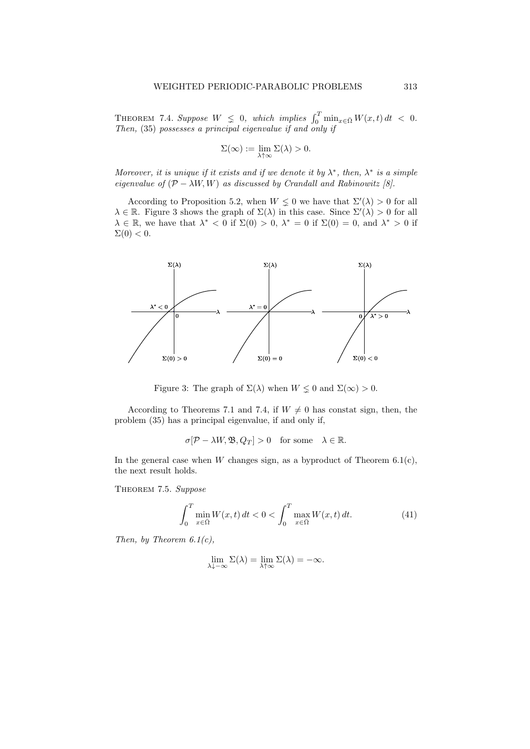THEOREM 7.4. Suppose  $W \leq 0$ , which implies  $\int_0^T \min_{x \in \bar{\Omega}} W(x, t) dt < 0$ . Then, (35) possesses a principal eigenvalue if and only if

$$
\Sigma(\infty):=\lim_{\lambda\uparrow\infty}\Sigma(\lambda)>0.
$$

Moreover, it is unique if it exists and if we denote it by  $\lambda^*$ , then,  $\lambda^*$  is a simple eigenvalue of  $(\mathcal{P} - \lambda W, W)$  as discussed by Crandall and Rabinowitz [8].

According to Proposition 5.2, when  $W \nleq 0$  we have that  $\Sigma'(\lambda) > 0$  for all  $\lambda \in \mathbb{R}$ . Figure 3 shows the graph of  $\Sigma(\lambda)$  in this case. Since  $\Sigma'(\lambda) > 0$  for all  $\lambda \in \mathbb{R}$ , we have that  $\lambda^* < 0$  if  $\Sigma(0) > 0$ ,  $\lambda^* = 0$  if  $\Sigma(0) = 0$ , and  $\lambda^* > 0$  if  $\Sigma(0) < 0.$ 



Figure 3: The graph of  $\Sigma(\lambda)$  when  $W \leq 0$  and  $\Sigma(\infty) > 0$ .

According to Theorems 7.1 and 7.4, if  $W \neq 0$  has constat sign, then, the problem (35) has a principal eigenvalue, if and only if,

$$
\sigma[\mathcal{P} - \lambda W, \mathfrak{B}, Q_T] > 0 \quad \text{for some} \quad \lambda \in \mathbb{R}.
$$

In the general case when  $W$  changes sign, as a byproduct of Theorem 6.1(c), the next result holds.

THEOREM 7.5. Suppose

$$
\int_0^T \min_{x \in \overline{\Omega}} W(x, t) dt < 0 < \int_0^T \max_{x \in \overline{\Omega}} W(x, t) dt.
$$
 (41)

Then, by Theorem  $6.1(c)$ ,

$$
\lim_{\lambda \downarrow -\infty} \Sigma(\lambda) = \lim_{\lambda \uparrow \infty} \Sigma(\lambda) = -\infty.
$$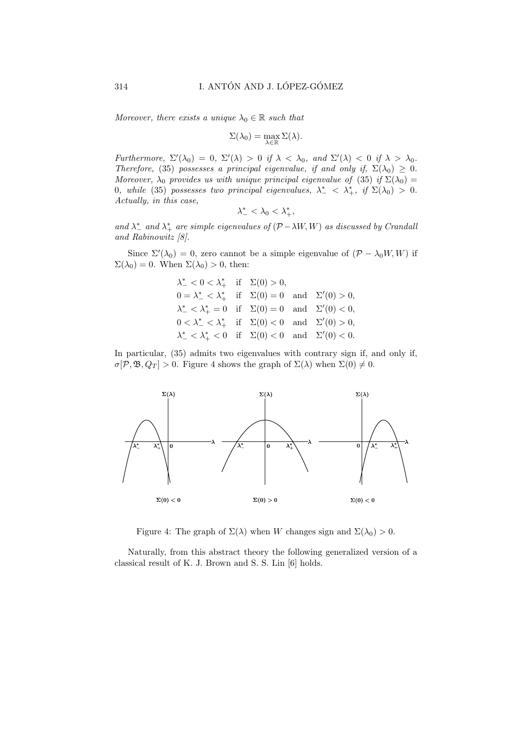Moreover, there exists a unique  $\lambda_0 \in \mathbb{R}$  such that

$$
\Sigma(\lambda_0) = \max_{\lambda \in \mathbb{R}} \Sigma(\lambda).
$$

Furthermore,  $\Sigma'(\lambda_0) = 0$ ,  $\Sigma'(\lambda) > 0$  if  $\lambda < \lambda_0$ , and  $\Sigma'(\lambda) < 0$  if  $\lambda > \lambda_0$ . Therefore, (35) possesses a principal eigenvalue, if and only if,  $\Sigma(\lambda_0) \geq 0$ . Moreover,  $\lambda_0$  provides us with unique principal eigenvalue of (35) if  $\Sigma(\lambda_0)$  = 0, while (35) possesses two principal eigenvalues,  $\lambda^*_- < \lambda^*_+$ , if  $\Sigma(\lambda_0) > 0$ . Actually, in this case,

$$
\lambda^*_-<\lambda_0<\lambda^*_+,
$$

and  $\lambda_{-}^{*}$  and  $\lambda_{+}^{*}$  are simple eigenvalues of  $(\mathcal{P}-\lambda W, W)$  as discussed by Crandalı and Rabinowitz [8].

Since  $\Sigma'(\lambda_0) = 0$ , zero cannot be a simple eigenvalue of  $(\mathcal{P} - \lambda_0 W, W)$  if  $\Sigma(\lambda_0) = 0$ . When  $\Sigma(\lambda_0) > 0$ , then:

$$
\lambda_{-}^{*} < 0 < \lambda_{+}^{*} \text{ if } \Sigma(0) > 0,
$$
  
\n
$$
0 = \lambda_{-}^{*} < \lambda_{+}^{*} \text{ if } \Sigma(0) = 0 \text{ and } \Sigma'(0) > 0,
$$
  
\n
$$
\lambda_{-}^{*} < \lambda_{+}^{*} = 0 \text{ if } \Sigma(0) = 0 \text{ and } \Sigma'(0) < 0,
$$
  
\n
$$
0 < \lambda_{-}^{*} < \lambda_{+}^{*} \text{ if } \Sigma(0) < 0 \text{ and } \Sigma'(0) > 0,
$$
  
\n
$$
\lambda_{-}^{*} < \lambda_{+}^{*} < 0 \text{ if } \Sigma(0) < 0 \text{ and } \Sigma'(0) < 0.
$$

In particular, (35) admits two eigenvalues with contrary sign if, and only if,  $\sigma[\mathcal{P}, \mathfrak{B}, Q_T] > 0$ . Figure 4 shows the graph of  $\Sigma(\lambda)$  when  $\Sigma(0) \neq 0$ .



Figure 4: The graph of  $\Sigma(\lambda)$  when W changes sign and  $\Sigma(\lambda_0) > 0$ .

Naturally, from this abstract theory the following generalized version of a classical result of K. J. Brown and S. S. Lin [6] holds.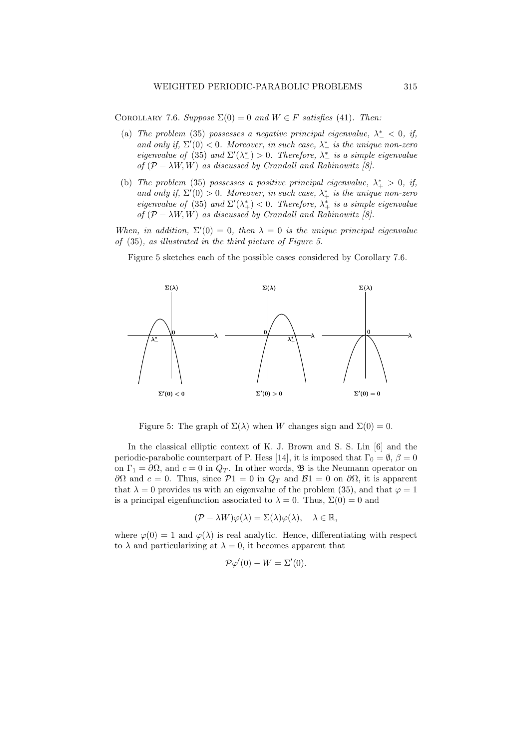COROLLARY 7.6. Suppose  $\Sigma(0) = 0$  and  $W \in F$  satisfies (41). Then:

- (a) The problem (35) possesses a negative principal eigenvalue,  $\lambda^*$  < 0, if, and only if,  $\Sigma'(0) < 0$ . Moreover, in such case,  $\lambda^*_{-}$  is the unique non-zero eigenvalue of (35) and  $\Sigma'(\lambda_{-}^{*}) > 0$ . Therefore,  $\lambda_{-}^{*}$  is a simple eigenvalue of  $(\mathcal{P} - \lambda W, W)$  as discussed by Crandall and Rabinowitz [8].
- (b) The problem (35) possesses a positive principal eigenvalue,  $\lambda^*_{+} > 0$ , if, and only if,  $\Sigma'(0) > 0$ . Moreover, in such case,  $\lambda^*_{+}$  is the unique non-zero eigenvalue of (35) and  $\Sigma'(\lambda_+^*)$  < 0. Therefore,  $\lambda_+^*$  is a simple eigenvalue of  $(\mathcal{P} - \lambda W, W)$  as discussed by Crandall and Rabinowitz [8].

When, in addition,  $\Sigma'(0) = 0$ , then  $\lambda = 0$  is the unique principal eigenvalue of (35), as illustrated in the third picture of Figure 5.

Figure 5 sketches each of the possible cases considered by Corollary 7.6.



Figure 5: The graph of  $\Sigma(\lambda)$  when W changes sign and  $\Sigma(0) = 0$ .

In the classical elliptic context of K. J. Brown and S. S. Lin [6] and the periodic-parabolic counterpart of P. Hess [14], it is imposed that  $\Gamma_0 = \emptyset$ ,  $\beta = 0$ on  $\Gamma_1 = \partial \Omega$ , and  $c = 0$  in  $Q_T$ . In other words,  $\mathfrak{B}$  is the Neumann operator on  $\partial\Omega$  and  $c = 0$ . Thus, since  $\mathcal{P}1 = 0$  in  $Q_T$  and  $\mathcal{B}1 = 0$  on  $\partial\Omega$ , it is apparent that  $\lambda = 0$  provides us with an eigenvalue of the problem (35), and that  $\varphi = 1$ is a principal eigenfunction associated to  $\lambda = 0$ . Thus,  $\Sigma(0) = 0$  and

$$
(\mathcal{P} - \lambda W)\varphi(\lambda) = \Sigma(\lambda)\varphi(\lambda), \quad \lambda \in \mathbb{R},
$$

where  $\varphi(0) = 1$  and  $\varphi(\lambda)$  is real analytic. Hence, differentiating with respect to  $\lambda$  and particularizing at  $\lambda = 0$ , it becomes apparent that

$$
\mathcal{P}\varphi'(0) - W = \Sigma'(0).
$$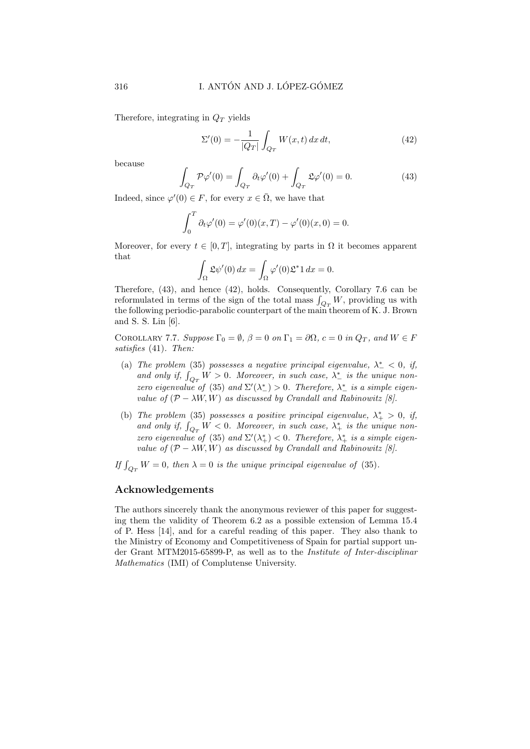Therefore, integrating in  $Q_T$  yields

$$
\Sigma'(0) = -\frac{1}{|Q_T|} \int_{Q_T} W(x, t) \, dx \, dt,\tag{42}
$$

because

$$
\int_{Q_T} \mathcal{P}\varphi'(0) = \int_{Q_T} \partial_t \varphi'(0) + \int_{Q_T} \mathfrak{L}\varphi'(0) = 0.
$$
\n(43)

Indeed, since  $\varphi'(0) \in F$ , for every  $x \in \overline{\Omega}$ , we have that

$$
\int_0^T \partial_t \varphi'(0) = \varphi'(0)(x,T) - \varphi'(0)(x,0) = 0.
$$

Moreover, for every  $t \in [0, T]$ , integrating by parts in  $\Omega$  it becomes apparent that

$$
\int_{\Omega} \mathfrak{L}\psi'(0) dx = \int_{\Omega} \varphi'(0) \mathfrak{L}^* 1 dx = 0.
$$

Therefore, (43), and hence (42), holds. Consequently, Corollary 7.6 can be reformulated in terms of the sign of the total mass  $\int_{Q_T} W$ , providing us with the following periodic-parabolic counterpart of the main theorem of K. J. Brown and S. S. Lin [6].

COROLLARY 7.7. Suppose  $\Gamma_0 = \emptyset$ ,  $\beta = 0$  on  $\Gamma_1 = \partial \Omega$ ,  $c = 0$  in  $Q_T$ , and  $W \in F$ satisfies (41). Then:

- (a) The problem (35) possesses a negative principal eigenvalue,  $\lambda^*$  < 0, if, and only if,  $\int_{Q_T} W > 0$ . Moreover, in such case,  $\lambda^*_-$  is the unique nonzero eigenvalue of (35) and  $\Sigma'(\lambda_{-}^{*}) > 0$ . Therefore,  $\lambda_{-}^{*}$  is a simple eigenvalue of  $(\mathcal{P} - \lambda W, W)$  as discussed by Crandall and Rabinowitz [8].
- (b) The problem (35) possesses a positive principal eigenvalue,  $\lambda^*_{+} > 0$ , if, and only if,  $\int_{Q_T} W < 0$ . Moreover, in such case,  $\lambda^*_{+}$  is the unique nonzero eigenvalue of (35) and  $\Sigma'(\lambda_+^*) < 0$ . Therefore,  $\lambda_+^*$  is a simple eigenvalue of  $(\mathcal{P} - \lambda W, W)$  as discussed by Crandall and Rabinowitz [8].
- If  $\int_{Q_T} W = 0$ , then  $\lambda = 0$  is the unique principal eigenvalue of (35).

### Acknowledgements

The authors sincerely thank the anonymous reviewer of this paper for suggesting them the validity of Theorem 6.2 as a possible extension of Lemma 15.4 of P. Hess [14], and for a careful reading of this paper. They also thank to the Ministry of Economy and Competitiveness of Spain for partial support under Grant MTM2015-65899-P, as well as to the Institute of Inter-disciplinar Mathematics (IMI) of Complutense University.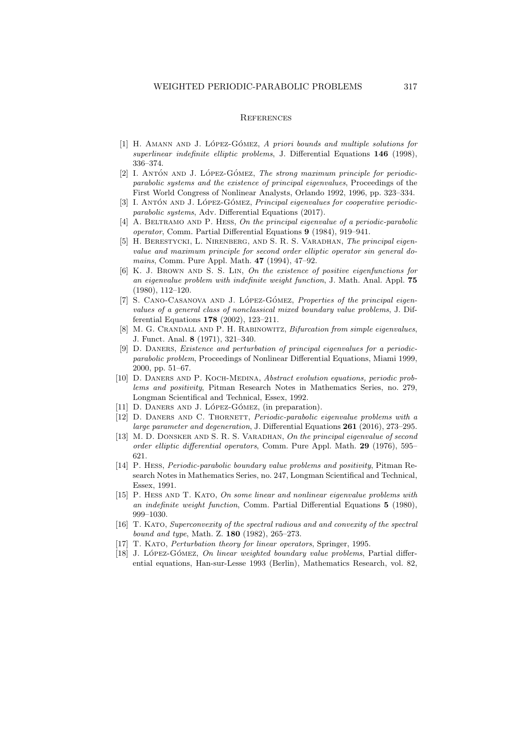#### **REFERENCES**

- $[1]$  H. AMANN AND J. LÓPEZ-GÓMEZ, A priori bounds and multiple solutions for superlinear indefinite elliptic problems, J. Differential Equations 146 (1998), 336–374.
- [2] I. ANTÓN AND J. LÓPEZ-GÓMEZ, The strong maximum principle for periodicparabolic systems and the existence of principal eigenvalues, Proceedings of the First World Congress of Nonlinear Analysts, Orlando 1992, 1996, pp. 323–334.
- [3] I. ANTÓN AND J. LÓPEZ-GÓMEZ, Principal eigenvalues for cooperative periodicparabolic systems, Adv. Differential Equations (2017).
- $[4]$  A. BELTRAMO AND P. HESS, On the principal eigenvalue of a periodic-parabolic operator, Comm. Partial Differential Equations 9 (1984), 919–941.
- [5] H. BERESTYCKI, L. NIRENBERG, AND S. R. S. VARADHAN, The principal eigenvalue and maximum principle for second order elliptic operator sin general domains, Comm. Pure Appl. Math. 47 (1994), 47–92.
- [6] K. J. Brown and S. S. Lin, On the existence of positive eigenfunctions for an eigenvalue problem with indefinite weight function, J. Math. Anal. Appl. 75 (1980), 112–120.
- [7] S. CANO-CASANOVA AND J. LÓPEZ-GÓMEZ, Properties of the principal eigenvalues of a general class of nonclassical mixed boundary value problems, J. Differential Equations 178 (2002), 123–211.
- [8] M. G. CRANDALL AND P. H. RABINOWITZ, *Bifurcation from simple eigenvalues*, J. Funct. Anal. 8 (1971), 321–340.
- [9] D. Daners, Existence and perturbation of principal eigenvalues for a periodicparabolic problem, Proceedings of Nonlinear Differential Equations, Miami 1999, 2000, pp. 51–67.
- [10] D. DANERS AND P. KOCH-MEDINA, Abstract evolution equations, periodic problems and positivity, Pitman Research Notes in Mathematics Series, no. 279, Longman Scientifical and Technical, Essex, 1992.
- [11] D. DANERS AND J. LÓPEZ-GÓMEZ, (in preparation).
- [12] D. DANERS AND C. THORNETT, *Periodic-parabolic eigenvalue problems with a* large parameter and degeneration, J. Differential Equations 261 (2016), 273–295.
- [13] M. D. DONSKER AND S. R. S. VARADHAN, On the principal eigenvalue of second order elliptic differential operators, Comm. Pure Appl. Math. 29 (1976), 595– 621.
- [14] P. Hess, Periodic-parabolic boundary value problems and positivity, Pitman Research Notes in Mathematics Series, no. 247, Longman Scientifical and Technical, Essex, 1991.
- [15] P. HESS AND T. KATO, On some linear and nonlinear eigenvalue problems with an indefinite weight function, Comm. Partial Differential Equations 5 (1980), 999–1030.
- [16] T. Kato, Superconvexity of the spectral radious and and convexity of the spectral bound and type, Math. Z. 180 (1982), 265–273.
- [17] T. Kato, Perturbation theory for linear operators, Springer, 1995.
- $[18]$  J. López-Gómez, On linear weighted boundary value problems, Partial differential equations, Han-sur-Lesse 1993 (Berlin), Mathematics Research, vol. 82,